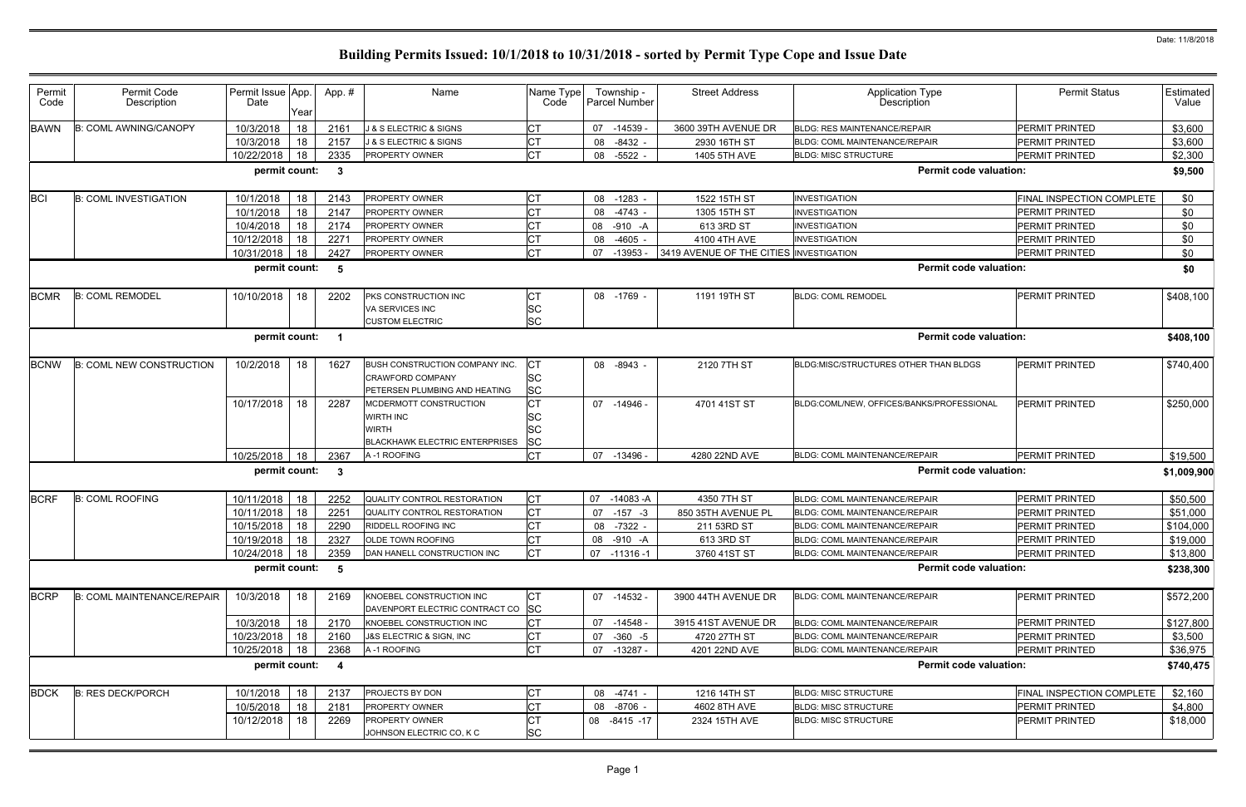| Permit<br>Code | Permit Code<br>Description        | Permit Issue App.<br>Date | Year | App.#                   | Name                                                                                       | Name Type<br>Code                   | Township -<br><b>Parcel Number</b> | <b>Street Address</b>                   | <b>Application Type</b><br><b>Description</b> | <b>Permit Status</b>             | Estimated<br>Value |
|----------------|-----------------------------------|---------------------------|------|-------------------------|--------------------------------------------------------------------------------------------|-------------------------------------|------------------------------------|-----------------------------------------|-----------------------------------------------|----------------------------------|--------------------|
| <b>BAWN</b>    | <b>B: COML AWNING/CANOPY</b>      | 10/3/2018                 | 18   | 2161                    | <b>J &amp; S ELECTRIC &amp; SIGNS</b>                                                      | IСТ                                 | 07<br>$-14539$                     | 3600 39TH AVENUE DR                     | <b>BLDG: RES MAINTENANCE/REPAIR</b>           | <b>PERMIT PRINTED</b>            | \$3,600            |
|                |                                   | 10/3/2018                 | 18   | 2157                    | J & S ELECTRIC & SIGNS                                                                     | Iст                                 | $-8432$<br>08                      | 2930 16TH ST                            | <b>BLDG: COML MAINTENANCE/REPAIR</b>          | <b>PERMIT PRINTED</b>            | \$3,600            |
|                |                                   | 10/22/2018                | 18   | 2335                    | <b>PROPERTY OWNER</b>                                                                      | <b>CT</b>                           | $-5522$<br>08                      | 1405 5TH AVE                            | <b>BLDG: MISC STRUCTURE</b>                   | PERMIT PRINTED                   | \$2,300            |
|                |                                   | permit count:             |      | $\mathbf{3}$            |                                                                                            |                                     |                                    |                                         | <b>Permit code valuation:</b>                 |                                  | \$9,500            |
|                |                                   |                           |      |                         |                                                                                            |                                     |                                    |                                         |                                               |                                  |                    |
| <b>BCI</b>     | <b>B: COML INVESTIGATION</b>      | 10/1/2018                 | 18   | 2143                    | PROPERTY OWNER                                                                             | <b>CT</b>                           | 08 -1283                           | 1522 15TH ST                            | <b>INVESTIGATION</b>                          | <b>FINAL INSPECTION COMPLETE</b> | \$0                |
|                |                                   | 10/1/2018                 | 18   | 2147                    | <b>PROPERTY OWNER</b>                                                                      | <b>CT</b>                           | 08<br>$-4743$ -                    | 1305 15TH ST                            | <b>INVESTIGATION</b>                          | PERMIT PRINTED<br>PERMIT PRINTED | \$0                |
|                |                                   | 10/4/2018                 | 18   | 2174                    | <b>PROPERTY OWNER</b>                                                                      |                                     | 08<br>-910 -A                      | 613 3RD ST<br>4100 4TH AVE              | <b>INVESTIGATION</b><br><b>INVESTIGATION</b>  | <b>PERMIT PRINTED</b>            | \$0                |
|                |                                   | 10/12/2018                | 18   | 227'                    | <b>PROPERTY OWNER</b>                                                                      | Iст                                 | 08<br>$-4605$ -                    |                                         |                                               |                                  | \$0                |
|                |                                   | 10/31/2018                | 18   | 2427                    | <b>PROPERTY OWNER</b>                                                                      | <b>CT</b>                           | -13953<br>07                       | 3419 AVENUE OF THE CITIES INVESTIGATION |                                               | PERMIT PRINTED                   | \$0                |
|                |                                   | permit count:             |      | -5                      |                                                                                            |                                     |                                    |                                         | <b>Permit code valuation:</b>                 |                                  | \$0                |
| <b>BCMR</b>    | <b>B: COML REMODEL</b>            | 10/10/2018                | 18   | 2202                    | PKS CONSTRUCTION INC                                                                       | IСТ                                 | 08 -1769 -                         | 1191 19TH ST                            | <b>BLDG: COML REMODEL</b>                     | <b>PERMIT PRINTED</b>            | \$408,100          |
|                |                                   |                           |      |                         | VA SERVICES INC                                                                            | <b>SC</b>                           |                                    |                                         |                                               |                                  |                    |
|                |                                   |                           |      |                         | <b>CUSTOM ELECTRIC</b>                                                                     | <b>SC</b>                           |                                    |                                         |                                               |                                  |                    |
|                |                                   | permit count:             |      | - 1                     |                                                                                            |                                     |                                    |                                         | <b>Permit code valuation:</b>                 |                                  | \$408,100          |
| <b>BCNW</b>    | <b>B: COML NEW CONSTRUCTION</b>   | 10/2/2018                 | 18   | 1627                    | BUSH CONSTRUCTION COMPANY INC.<br><b>CRAWFORD COMPANY</b><br>PETERSEN PLUMBING AND HEATING | IСТ<br><b>SC</b><br><b>SC</b>       | 08 -8943                           | 2120 7TH ST                             | BLDG:MISC/STRUCTURES OTHER THAN BLDGS         | <b>PERMIT PRINTED</b>            | \$740,400          |
|                |                                   | 10/17/2018                | 18   | 2287                    | MCDERMOTT CONSTRUCTION<br><b>WIRTH INC</b><br><b>WIRTH</b>                                 | <b>CT</b><br><b>SC</b><br><b>SC</b> | 07 -14946 -                        | 4701 41ST ST                            | BLDG:COML/NEW, OFFICES/BANKS/PROFESSIONAL     | <b>PERMIT PRINTED</b>            | \$250,000          |
|                |                                   |                           |      |                         | <b>BLACKHAWK ELECTRIC ENTERPRISES</b>                                                      | <b>SC</b><br><b>CT</b>              |                                    |                                         |                                               |                                  |                    |
|                |                                   | 10/25/2018                | 18   | 2367                    | A-1 ROOFING                                                                                |                                     | 07<br>-13496 -                     | 4280 22ND AVE                           | BLDG: COML MAINTENANCE/REPAIR                 | PERMIT PRINTED                   | \$19,500           |
|                |                                   | permit count:             |      | $\mathbf{3}$            |                                                                                            |                                     |                                    |                                         | <b>Permit code valuation:</b>                 |                                  | \$1,009,900        |
| <b>BCRF</b>    | <b>B: COML ROOFING</b>            | 10/11/2018                | 18   | 2252                    | QUALITY CONTROL RESTORATION                                                                | <b>CT</b>                           | $-14083 - A$<br>07                 | 4350 7TH ST                             | <b>BLDG: COML MAINTENANCE/REPAIR</b>          | PERMIT PRINTED                   | \$50,500           |
|                |                                   | 10/11/2018                | 18   | 2251                    | QUALITY CONTROL RESTORATION                                                                | <b>CT</b>                           | $-157 - 3$<br>07                   | 850 35TH AVENUE PL                      | <b>BLDG: COML MAINTENANCE/REPAIR</b>          | PERMIT PRINTED                   | \$51,000           |
|                |                                   | 10/15/2018                | 18   | 2290                    | <b>RIDDELL ROOFING INC</b>                                                                 | <b>CT</b>                           | 08 -7322 -                         | 211 53RD ST                             | BLDG: COML MAINTENANCE/REPAIR                 | PERMIT PRINTED                   | \$104,000          |
|                |                                   | 10/19/2018   18           |      | 2327                    | <b>OLDE TOWN ROOFING</b>                                                                   | IСТ                                 | 08 -910 -A                         | 613 3RD ST                              | BLDG: COML MAINTENANCE/REPAIR                 | PERMIT PRINTED                   | \$19,000           |
|                |                                   | 10/24/2018 18             |      | 2359                    | DAN HANELL CONSTRUCTION INC                                                                | <b>CT</b>                           | 07 -11316 -1                       | 3760 41ST ST                            | BLDG: COML MAINTENANCE/REPAIR                 | PERMIT PRINTED                   | \$13,800           |
|                |                                   | permit count: 5           |      |                         |                                                                                            |                                     |                                    |                                         | <b>Permit code valuation:</b>                 |                                  | \$238,300          |
| <b>BCRP</b>    | <b>B: COML MAINTENANCE/REPAIR</b> | 10/3/2018                 | 18   | 2169                    | KNOEBEL CONSTRUCTION INC<br>DAVENPORT ELECTRIC CONTRACT CO SC                              | IСТ                                 | 07 -14532 -                        | 3900 44TH AVENUE DR                     | <b>BLDG: COML MAINTENANCE/REPAIR</b>          | PERMIT PRINTED                   | \$572,200          |
|                |                                   | 10/3/2018                 | 18   | 2170                    | KNOEBEL CONSTRUCTION INC                                                                   | <b>CT</b>                           | $07 - 14548$                       | 3915 41ST AVENUE DR                     | <b>BLDG: COML MAINTENANCE/REPAIR</b>          | <b>PERMIT PRINTED</b>            | \$127,800          |
|                |                                   | 10/23/2018                | 18   | 2160                    | J&S ELECTRIC & SIGN, INC                                                                   | СT                                  | 07 -360 -5                         | 4720 27TH ST                            | <b>BLDG: COML MAINTENANCE/REPAIR</b>          | PERMIT PRINTED                   | \$3,500            |
|                |                                   | 10/25/2018                | 18   | 2368                    | A-1 ROOFING                                                                                | <b>CT</b>                           | 07 -13287 -                        | 4201 22ND AVE                           | BLDG: COML MAINTENANCE/REPAIR                 | PERMIT PRINTED                   | \$36,975           |
|                |                                   | permit count:             |      | $\overline{\mathbf{4}}$ |                                                                                            |                                     |                                    |                                         | <b>Permit code valuation:</b>                 |                                  | \$740,475          |
| <b>BDCK</b>    | <b>B: RES DECK/PORCH</b>          | 10/1/2018                 | 18   | 2137                    | PROJECTS BY DON                                                                            | IСТ                                 | 08 -4741 -                         | 1216 14TH ST                            | <b>BLDG: MISC STRUCTURE</b>                   | FINAL INSPECTION COMPLETE        | \$2,160            |
|                |                                   | 10/5/2018                 | 18   | 2181                    | PROPERTY OWNER                                                                             | Iст                                 | 08 -8706 -                         | 4602 8TH AVE                            | <b>BLDG: MISC STRUCTURE</b>                   | PERMIT PRINTED                   | \$4,800            |
|                |                                   | 10/12/2018                | 18   | 2269                    | <b>PROPERTY OWNER</b><br>JOHNSON ELECTRIC CO, K C                                          | СT<br><b>SC</b>                     | 08 -8415 -17                       | 2324 15TH AVE                           | <b>BLDG: MISC STRUCTURE</b>                   | PERMIT PRINTED                   | \$18,000           |
|                |                                   |                           |      |                         |                                                                                            |                                     |                                    |                                         |                                               |                                  |                    |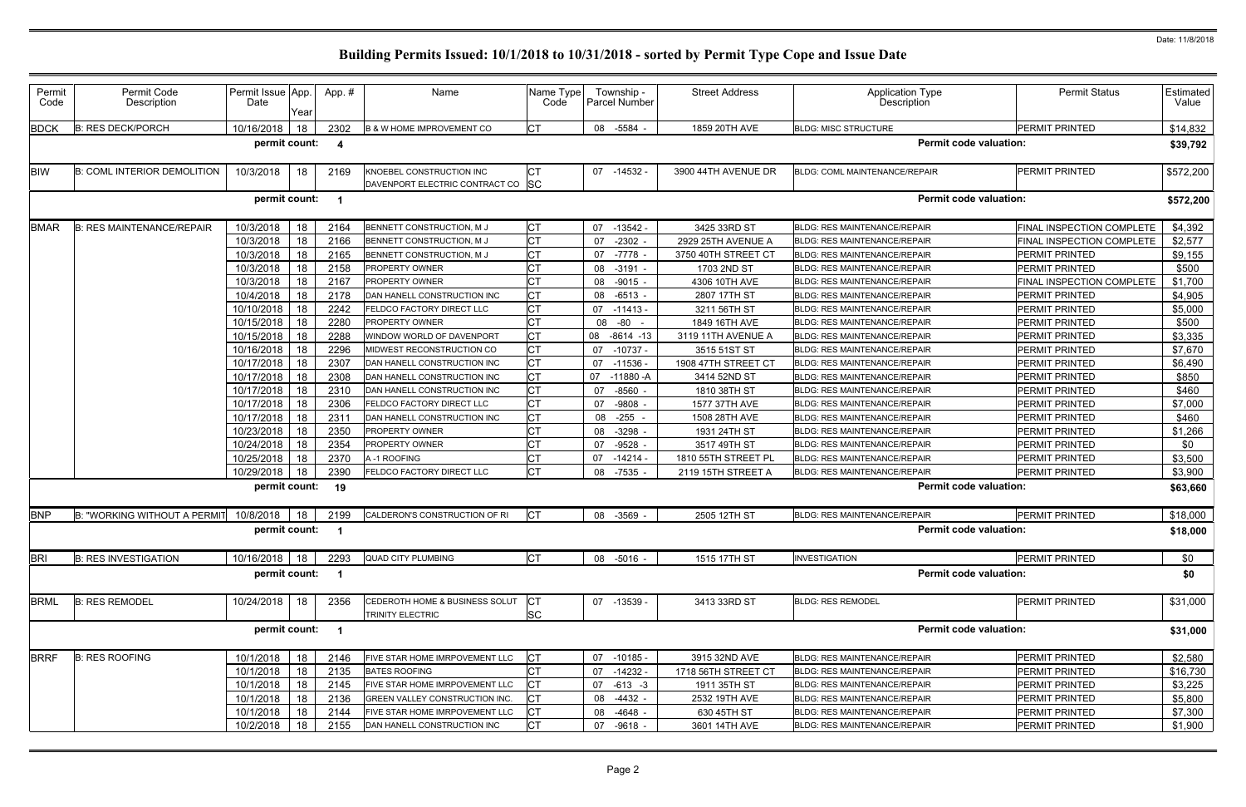| Permit<br>Code | Permit Code<br>Description         | Permit Issue App.<br>Date | Year | App.#                   | Name                                                          | Name Type<br>Code       | Township -<br><b>Parcel Number</b> | <b>Street Address</b> | <b>Application Type</b><br>Description | <b>Permit Status</b>      | Estimated<br>Value |
|----------------|------------------------------------|---------------------------|------|-------------------------|---------------------------------------------------------------|-------------------------|------------------------------------|-----------------------|----------------------------------------|---------------------------|--------------------|
| <b>BDCK</b>    | <b>B: RES DECK/PORCH</b>           | 10/16/2018                | 18   | 2302                    | <b>B &amp; W HOME IMPROVEMENT CO</b>                          | <b>CT</b>               | 08 -5584 -                         | 1859 20TH AVE         | <b>BLDG: MISC STRUCTURE</b>            | PERMIT PRINTED            | \$14,832           |
|                |                                    | permit count:             |      | -4                      |                                                               |                         |                                    |                       | <b>Permit code valuation:</b>          |                           | \$39,792           |
| <b>BIW</b>     | <b>B: COML INTERIOR DEMOLITION</b> | 10/3/2018                 | 18   | 2169                    | KNOEBEL CONSTRUCTION INC<br>DAVENPORT ELECTRIC CONTRACT CO SC | <b>CT</b>               | 07 -14532 -                        | 3900 44TH AVENUE DR   | BLDG: COML MAINTENANCE/REPAIR          | PERMIT PRINTED            | \$572,200          |
|                |                                    | permit count:             |      | $\blacksquare$          |                                                               |                         |                                    |                       | <b>Permit code valuation:</b>          |                           | \$572,200          |
| <b>BMAR</b>    | <b>B: RES MAINTENANCE/REPAIR</b>   | 10/3/2018                 | 18   | 2164                    | BENNETT CONSTRUCTION, M J                                     | <b>CT</b>               | 07 -13542 -                        | 3425 33RD ST          | <b>BLDG: RES MAINTENANCE/REPAIR</b>    | FINAL INSPECTION COMPLETE | \$4,392            |
|                |                                    | 10/3/2018                 | 18   | 2166                    | BENNETT CONSTRUCTION, M J                                     | <b>CT</b>               | $-2302$<br>07                      | 2929 25TH AVENUE A    | <b>BLDG: RES MAINTENANCE/REPAIR</b>    | FINAL INSPECTION COMPLETE | \$2,577            |
|                |                                    | 10/3/2018                 | 18   | 2165                    | BENNETT CONSTRUCTION, M J                                     | <b>CT</b>               | -7778<br>07                        | 3750 40TH STREET CT   | <b>BLDG: RES MAINTENANCE/REPAIR</b>    | PERMIT PRINTED            | \$9,155            |
|                |                                    | 10/3/2018                 | 18   | 2158                    | PROPERTY OWNER                                                | <b>CT</b>               | 08<br>$-3191$                      | 1703 2ND ST           | <b>BLDG: RES MAINTENANCE/REPAIR</b>    | PERMIT PRINTED            | \$500              |
|                |                                    | 10/3/2018                 | 18   | 2167                    | PROPERTY OWNER                                                | Iст                     | 08 -9015 -                         | 4306 10TH AVE         | BLDG: RES MAINTENANCE/REPAIR           | FINAL INSPECTION COMPLETE | \$1,700            |
|                |                                    | 10/4/2018                 | 18   | 2178                    | DAN HANELL CONSTRUCTION INC                                   | <b>CT</b>               | 08 -6513                           | 2807 17TH ST          | <b>BLDG: RES MAINTENANCE/REPAIR</b>    | PERMIT PRINTED            | \$4,905            |
|                |                                    | 10/10/2018                | 18   | 2242                    | FELDCO FACTORY DIRECT LLC                                     | <b>CT</b>               | 07 -11413                          | 3211 56TH ST          | <b>BLDG: RES MAINTENANCE/REPAIR</b>    | PERMIT PRINTED            | \$5,000            |
|                |                                    | 10/15/2018                | 18   | 2280                    | PROPERTY OWNER                                                | Iст                     | -80<br>08                          | 1849 16TH AVE         | <b>BLDG: RES MAINTENANCE/REPAIR</b>    | PERMIT PRINTED            | \$500              |
|                |                                    | 10/15/2018                | 18   | 2288                    | <b>NINDOW WORLD OF DAVENPORT</b>                              | <b>CT</b>               | 80<br>$-8614 - 13$                 | 3119 11TH AVENUE A    | BLDG: RES MAINTENANCE/REPAIR           | PERMIT PRINTED            | \$3,335            |
|                |                                    | 10/16/2018                | 18   | 2296                    | MIDWEST RECONSTRUCTION CO                                     | IСТ                     | 07 -10737                          | 3515 51ST ST          | <b>BLDG: RES MAINTENANCE/REPAIR</b>    | PERMIT PRINTED            | \$7,670            |
|                |                                    | 10/17/2018                | 18   | 2307                    | DAN HANELL CONSTRUCTION INC                                   | <b>CT</b>               | 07 -11536                          | 1908 47TH STREET CT   | <b>BLDG: RES MAINTENANCE/REPAIR</b>    | PERMIT PRINTED            | \$6,490            |
|                |                                    | 10/17/2018                | 18   | 2308                    | DAN HANELL CONSTRUCTION INC                                   | IСТ                     | 07<br>-11880 -A                    | 3414 52ND ST          | BLDG: RES MAINTENANCE/REPAIR           | <b>PERMIT PRINTED</b>     | \$850              |
|                |                                    | 10/17/2018                | 18   | 2310                    | DAN HANELL CONSTRUCTION INC                                   | <b>CT</b>               | $-8560$<br>07                      | 1810 38TH ST          | <b>BLDG: RES MAINTENANCE/REPAIR</b>    | PERMIT PRINTED            | \$460              |
|                |                                    | 10/17/2018                | 18   | 2306                    | FELDCO FACTORY DIRECT LLC                                     | <b>CT</b>               | $-9808$<br>07                      | 1577 37TH AVE         | <b>BLDG: RES MAINTENANCE/REPAIR</b>    | PERMIT PRINTED            | \$7,000            |
|                |                                    | 10/17/2018                | 18   | 231'                    | DAN HANELL CONSTRUCTION INC                                   | <b>CT</b>               | $-255$<br>08                       | 1508 28TH AVE         | <b>BLDG: RES MAINTENANCE/REPAIR</b>    | PERMIT PRINTED            | \$460              |
|                |                                    | 10/23/2018                | 18   | 2350                    | PROPERTY OWNER                                                | <b>ICT</b>              | $-3298$<br>08                      | 1931 24TH ST          | <b>BLDG: RES MAINTENANCE/REPAIR</b>    | PERMIT PRINTED            | \$1,266            |
|                |                                    | 10/24/2018                | 18   | 2354                    | PROPERTY OWNER                                                |                         | $-9528$<br>07                      | 3517 49TH ST          | BLDG: RES MAINTENANCE/REPAIR           | PERMIT PRINTED            | \$0                |
|                |                                    | 10/25/2018                | 18   | 2370                    | A-1 ROOFING                                                   | <b>CT</b>               | $-14214$<br>07                     | 1810 55TH STREET PL   | BLDG: RES MAINTENANCE/REPAIR           | PERMIT PRINTED            | \$3,500            |
|                |                                    | 10/29/2018                | 18   | 2390                    | FELDCO FACTORY DIRECT LLC                                     | <b>CT</b>               | 08 -7535                           | 2119 15TH STREET A    | <b>BLDG: RES MAINTENANCE/REPAIR</b>    | <b>PERMIT PRINTED</b>     | \$3,900            |
|                |                                    | permit count:             |      | -19                     |                                                               |                         |                                    |                       | <b>Permit code valuation:</b>          |                           | \$63,660           |
| <b>BNP</b>     | B: "WORKING WITHOUT A PERMI"       | 10/8/2018                 | 18   | 2199                    | CALDERON'S CONSTRUCTION OF RI                                 | <b>CT</b>               | 08 -3569 -                         | 2505 12TH ST          | <b>BLDG: RES MAINTENANCE/REPAIR</b>    | PERMIT PRINTED            | \$18,000           |
|                |                                    | permit count:             |      | - 1                     |                                                               |                         |                                    |                       | <b>Permit code valuation:</b>          |                           | \$18,000           |
| <b>BRI</b>     | <b>B: RES INVESTIGATION</b>        | 10/16/2018 18             |      | 2293                    | <b>QUAD CITY PLUMBING</b>                                     | <b>I</b> CT             | 08 -5016 -                         | 1515 17TH ST          | <b>INVESTIGATION</b>                   | <b>PERMIT PRINTED</b>     | \$0                |
|                |                                    | permit count:             |      | - 1                     |                                                               |                         |                                    |                       | <b>Permit code valuation:</b>          |                           | \$0                |
| <b>BRML</b>    | <b>B: RES REMODEL</b>              | 10/24/2018                | 18   | 2356                    | CEDEROTH HOME & BUSINESS SOLUT<br><b>TRINITY ELECTRIC</b>     | <b>ICT</b><br><b>SC</b> | 07 -13539 -                        | 3413 33RD ST          | <b>BLDG: RES REMODEL</b>               | PERMIT PRINTED            | \$31,000           |
|                |                                    | permit count:             |      | $\overline{\mathbf{1}}$ |                                                               |                         |                                    |                       | <b>Permit code valuation:</b>          |                           | \$31,000           |
| <b>BRRF</b>    | <b>B: RES ROOFING</b>              | 10/1/2018                 | 18   | 2146                    | FIVE STAR HOME IMRPOVEMENT LLC                                | <b>CT</b>               | 07 -10185 -                        | 3915 32ND AVE         | <b>BLDG: RES MAINTENANCE/REPAIR</b>    | PERMIT PRINTED            | \$2,580            |
|                |                                    | 10/1/2018                 | 18   | 2135                    | <b>BATES ROOFING</b>                                          | <b>CT</b>               | $-14232$<br>07                     | 1718 56TH STREET CT   | <b>BLDG: RES MAINTENANCE/REPAIR</b>    | PERMIT PRINTED            | \$16,730           |
|                |                                    | 10/1/2018                 | 18   | 2145                    | FIVE STAR HOME IMRPOVEMENT LLC                                | Iст                     | 07 -613 -3                         | 1911 35TH ST          | BLDG: RES MAINTENANCE/REPAIR           | PERMIT PRINTED            | \$3,225            |
|                |                                    | 10/1/2018                 | 18   | 2136                    | GREEN VALLEY CONSTRUCTION INC.                                | <b>CT</b>               | 08 -4432 -                         | 2532 19TH AVE         | <b>BLDG: RES MAINTENANCE/REPAIR</b>    | PERMIT PRINTED            | \$5,800            |
|                |                                    | 10/1/2018                 | 18   | 2144                    | FIVE STAR HOME IMRPOVEMENT LLC                                | <b>CT</b>               | 08 -4648 -                         | 630 45TH ST           | <b>BLDG: RES MAINTENANCE/REPAIR</b>    | PERMIT PRINTED            | \$7,300            |
|                |                                    | 10/2/2018                 | 18   | 2155                    | DAN HANELL CONSTRUCTION INC                                   | <b>CT</b>               | $-9618 -$<br>07                    | 3601 14TH AVE         | <b>BLDG: RES MAINTENANCE/REPAIR</b>    | PERMIT PRINTED            | \$1,900            |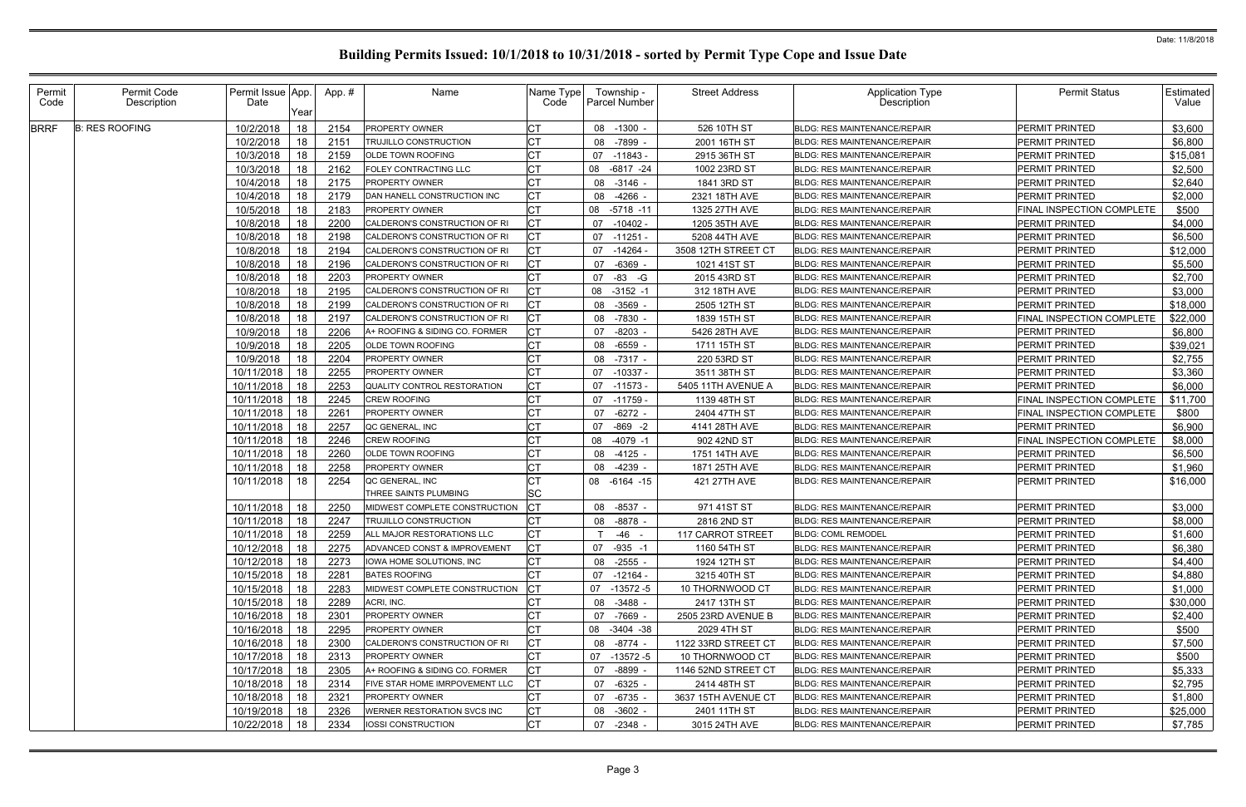| Permit<br>Code | Permit Code<br>Description | Permit Issue App.<br>Date     |      | App.#        | Name                                                   | Name Type<br>Code | Township -<br>Parcel Number | <b>Street Address</b>                  | <b>Application Type</b><br><b>Description</b>                       | <b>Permit Status</b>                           | <b>Estimated</b><br>Value |
|----------------|----------------------------|-------------------------------|------|--------------|--------------------------------------------------------|-------------------|-----------------------------|----------------------------------------|---------------------------------------------------------------------|------------------------------------------------|---------------------------|
|                |                            |                               | Year |              |                                                        |                   |                             |                                        |                                                                     |                                                |                           |
| <b>BRRF</b>    | <b>B: RES ROOFING</b>      | 10/2/2018                     | 18   | 2154         | PROPERTY OWNER                                         |                   | 08 -1300                    | 526 10TH ST                            | <b>BLDG: RES MAINTENANCE/REPAIR</b>                                 | PERMIT PRINTED                                 | \$3,600                   |
|                |                            | 10/2/2018                     | 18   | 215'         | TRUJILLO CONSTRUCTION                                  | CТ                | 08<br>-7899                 | 2001 16TH ST                           | BLDG: RES MAINTENANCE/REPAIR                                        | <b>PERMIT PRINTED</b><br><b>PERMIT PRINTED</b> | \$6,800                   |
|                |                            | 10/3/2018                     | 18   | 2159         | <b>OLDE TOWN ROOFING</b>                               |                   | -11843 -<br>07              | 2915 36TH ST                           | <b>BLDG: RES MAINTENANCE/REPAIR</b>                                 |                                                | \$15,081                  |
|                |                            | 10/3/2018                     | 18   | 2162         | FOLEY CONTRACTING LLC                                  |                   | 08<br>-6817 -24             | 1002 23RD ST                           | <b>BLDG: RES MAINTENANCE/REPAIR</b>                                 | PERMIT PRINTED                                 | \$2,500                   |
|                |                            | 10/4/2018                     | 18   | 2175         | <b>PROPERTY OWNER</b>                                  |                   | $-3146$ -<br>08             | 1841 3RD ST                            | <b>BLDG: RES MAINTENANCE/REPAIR</b>                                 | PERMIT PRINTED                                 | \$2,640                   |
|                |                            | 10/4/2018                     | 18   | 2179         | DAN HANELL CONSTRUCTION INC                            | СT                | $-4266$ -<br>08             | 2321 18TH AVE                          | <b>BLDG: RES MAINTENANCE/REPAIR</b>                                 | PERMIT PRINTED                                 | \$2,000                   |
|                |                            | 10/5/2018                     | 18   | 2183         | <b>PROPERTY OWNER</b>                                  | IСТ               | 08 -5718 -11                | 1325 27TH AVE                          | <b>BLDG: RES MAINTENANCE/REPAIR</b>                                 | <b>FINAL INSPECTION COMPLETE</b>               | \$500                     |
|                |                            | 10/8/2018                     | 18   | 2200         | CALDERON'S CONSTRUCTION OF RI                          |                   | $-10402 -$<br>07            | 1205 35TH AVE                          | <b>BLDG: RES MAINTENANCE/REPAIR</b>                                 | PERMIT PRINTED                                 | \$4,000                   |
|                |                            | 10/8/2018                     | 18   | 2198         | CALDERON'S CONSTRUCTION OF RI                          | <b>CT</b>         | -11251<br>07                | 5208 44TH AVE                          | <b>BLDG: RES MAINTENANCE/REPAIR</b>                                 | PERMIT PRINTED                                 | \$6,500                   |
|                |                            | 10/8/2018                     | 18   | 2194         | CALDERON'S CONSTRUCTION OF RI                          | <b>CT</b>         | $-14264$<br>07              | 3508 12TH STREET CT                    | <b>BLDG: RES MAINTENANCE/REPAIR</b>                                 | PERMIT PRINTED                                 | \$12,000                  |
|                |                            | 10/8/2018                     | 18   | 2196         | CALDERON'S CONSTRUCTION OF RI                          | СT                | 07<br>-6369                 | 1021 41ST ST                           | BLDG: RES MAINTENANCE/REPAIR                                        | <b>PERMIT PRINTED</b>                          | \$5,500                   |
|                |                            | 10/8/2018                     | 18   | 2203         | <b>PROPERTY OWNER</b>                                  |                   | $-83 - G$<br>07             | 2015 43RD ST                           | <b>BLDG: RES MAINTENANCE/REPAIR</b>                                 | <b>PERMIT PRINTED</b>                          | \$2,700                   |
|                |                            | 10/8/2018                     | 18   | 2195         | CALDERON'S CONSTRUCTION OF RI                          | <b>CT</b>         | 08<br>$-3152 - 1$           | 312 18TH AVE                           | <b>BLDG: RES MAINTENANCE/REPAIR</b>                                 | <b>PERMIT PRINTED</b>                          | \$3,000                   |
|                |                            | 10/8/2018                     | 18   | 2199         | CALDERON'S CONSTRUCTION OF RI                          |                   | 08 -3569                    | 2505 12TH ST                           | <b>BLDG: RES MAINTENANCE/REPAIR</b>                                 | <b>PERMIT PRINTED</b>                          | \$18,000                  |
|                |                            | 10/8/2018                     | 18   | 2197         | CALDERON'S CONSTRUCTION OF RI                          |                   | 08 -7830                    | 1839 15TH ST                           | <b>BLDG: RES MAINTENANCE/REPAIR</b>                                 | <b>FINAL INSPECTION COMPLETE</b>               | \$22,000                  |
|                |                            | 10/9/2018                     | 18   | 2206         | A+ ROOFING & SIDING CO. FORMER                         | СT                | 07<br>-8203 -               | 5426 28TH AVE                          | <b>BLDG: RES MAINTENANCE/REPAIR</b>                                 | <b>PERMIT PRINTED</b>                          | \$6,800                   |
|                |                            | 10/9/2018                     | 18   | 2205         | OLDE TOWN ROOFING                                      | <b>CT</b>         | -6559<br>08                 | 1711 15TH ST                           | <b>BLDG: RES MAINTENANCE/REPAIR</b>                                 | PERMIT PRINTED                                 | \$39,021                  |
|                |                            | 10/9/2018                     | 18   | 2204         | PROPERTY OWNER                                         | UI                | 08<br>-7317 -               | 220 53RD ST                            | <b>BLDG: RES MAINTENANCE/REPAIR</b>                                 | PERMIT PRINTED                                 | \$2,755                   |
|                |                            | 10/11/2018                    | 18   | 2255         | <b>PROPERTY OWNER</b>                                  |                   | $-10337$<br>07              | 3511 38TH ST                           | <b>BLDG: RES MAINTENANCE/REPAIR</b>                                 | <b>PERMIT PRINTED</b>                          | \$3,360                   |
|                |                            | 10/11/2018                    | 18   | 2253         | <b>QUALITY CONTROL RESTORATION</b>                     | <b>CT</b>         | $-11573$<br>07              | 5405 11TH AVENUE A                     | <b>BLDG: RES MAINTENANCE/REPAIR</b>                                 | <b>PERMIT PRINTED</b>                          | \$6,000                   |
|                |                            | 10/11/2018                    | 18   | 2245         | <b>CREW ROOFING</b>                                    |                   | -11759 -<br>07              | 1139 48TH ST                           | <b>BLDG: RES MAINTENANCE/REPAIR</b>                                 | FINAL INSPECTION COMPLETE                      | \$11,700                  |
|                |                            | 10/11/2018                    | 18   | 2261         | <b>PROPERTY OWNER</b>                                  |                   | $-6272$ -<br>07             | 2404 47TH ST                           | <b>BLDG: RES MAINTENANCE/REPAIR</b>                                 | FINAL INSPECTION COMPLETE                      | \$800                     |
|                |                            | 10/11/2018                    | 18   | 2257         | QC GENERAL, INC                                        |                   | $-869 - 2$<br>07            | 4141 28TH AVE                          | <b>BLDG: RES MAINTENANCE/REPAIR</b>                                 | <b>PERMIT PRINTED</b>                          | \$6,900                   |
|                |                            | 10/11/2018                    | 18   | 2246         | CREW ROOFING                                           |                   | $-4079 - 1$<br>08           | 902 42ND ST                            | BLDG: RES MAINTENANCE/REPAIR                                        | FINAL INSPECTION COMPLETE                      | \$8,000                   |
|                |                            | 10/11/2018                    | 18   | 2260         | OLDE TOWN ROOFING                                      |                   | 08<br>$-4125 -$             | 1751 14TH AVE                          | <b>BLDG: RES MAINTENANCE/REPAIR</b>                                 | <b>PERMIT PRINTED</b>                          | \$6,500                   |
|                |                            | 10/11/2018                    | 18   | 2258         | <b>PROPERTY OWNER</b>                                  |                   | -4239<br>08                 | 1871 25TH AVE                          | <b>BLDG: RES MAINTENANCE/REPAIR</b>                                 | PERMIT PRINTED                                 | \$1,960                   |
|                |                            | 10/11/2018                    | 18   | 2254         | QC GENERAL, INC                                        |                   | 08 -6164 -15                | 421 27TH AVE                           | <b>BLDG: RES MAINTENANCE/REPAIR</b>                                 | <b>PERMIT PRINTED</b>                          | \$16,000                  |
|                |                            |                               |      |              | <b>HREE SAINTS PLUMBING</b>                            | UI<br>SC          |                             |                                        |                                                                     |                                                |                           |
|                |                            | 10/11/2018                    | 18   | 2250         | MIDWEST COMPLETE CONSTRUCTION                          | СT                | $-8537 -$<br>08             | 971 41ST ST                            | <b>BLDG: RES MAINTENANCE/REPAIR</b>                                 | <b>PERMIT PRINTED</b>                          | \$3,000                   |
|                |                            | 10/11/2018                    | 18   | 2247         | TRUJILLO CONSTRUCTION                                  |                   | 08<br>-8878 -               | 2816 2ND ST                            | BLDG: RES MAINTENANCE/REPAIR                                        | PERMIT PRINTED                                 | \$8,000                   |
|                |                            | 10/11/2018 18 2259            |      |              | ALL MAJOR RESTORATIONS LLC                             | Iст<br>◡          | T<br>-46                    | 117 CARROT STREET                      | <b>BLDG: COML REMODEL</b>                                           | PERMIT PRINTED                                 | \$1,600                   |
|                |                            | 10/12/2018   18               |      | 2275         | ADVANCED CONST & IMPROVEMENT                           | <b>CT</b>         | 07 -935 -1                  | 1160 54TH ST                           | <b>BLDG: RES MAINTENANCE/REPAIR</b>                                 | PERMIT PRINTED                                 | \$6,380                   |
|                |                            | 10/12/2018                    | 18   | 2273         | IOWA HOME SOLUTIONS, INC                               | СT                | 08 -2555 -                  | 1924 12TH ST                           | <b>BLDG: RES MAINTENANCE/REPAIR</b>                                 | PERMIT PRINTED                                 | \$4,400                   |
|                |                            | 10/15/2018                    | 18   | 2281         | <b>BATES ROOFING</b>                                   | <b>CT</b>         | 07 -12164 -                 | 3215 40TH ST                           | <b>BLDG: RES MAINTENANCE/REPAIR</b>                                 | PERMIT PRINTED                                 | \$4,880                   |
|                |                            | 10/15/2018                    | 18   | 2283         | MIDWEST COMPLETE CONSTRUCTION                          | <b>ICT</b>        | 07 -13572 -5                | 10 THORNWOOD CT                        | <b>BLDG: RES MAINTENANCE/REPAIR</b>                                 | PERMIT PRINTED                                 | \$1,000                   |
|                |                            | 10/15/2018                    | 18   | 2289         | ACRI, INC.                                             | <b>CT</b>         | 08 -3488 -                  | 2417 13TH ST                           | <b>BLDG: RES MAINTENANCE/REPAIR</b>                                 | PERMIT PRINTED                                 | \$30,000                  |
|                |                            | 10/16/2018   18               |      | 2301         | <b>PROPERTY OWNER</b>                                  | СT                | 07 -7669 -                  | 2505 23RD AVENUE B                     | BLDG: RES MAINTENANCE/REPAIR                                        | PERMIT PRINTED                                 | \$2,400                   |
|                |                            | 10/16/2018                    | 18   | 2295         | <b>PROPERTY OWNER</b>                                  |                   | 08 -3404 -38                | 2029 4TH ST                            | <b>BLDG: RES MAINTENANCE/REPAIR</b>                                 | PERMIT PRINTED                                 | \$500                     |
|                |                            |                               |      |              |                                                        |                   |                             |                                        |                                                                     |                                                |                           |
|                |                            | 10/16/2018   18<br>10/17/2018 |      | 2300<br>2313 | CALDERON'S CONSTRUCTION OF RI<br><b>PROPERTY OWNER</b> | СT<br><b>CT</b>   | 08 - 8774 -<br>07 -13572 -5 | 1122 33RD STREET CT<br>10 THORNWOOD CT | BLDG: RES MAINTENANCE/REPAIR<br><b>BLDG: RES MAINTENANCE/REPAIR</b> | PERMIT PRINTED<br>PERMIT PRINTED               | \$7,500                   |
|                |                            |                               | 18   |              |                                                        | <b>CT</b>         |                             |                                        |                                                                     |                                                | \$500                     |
|                |                            | 10/17/2018   18               |      | 2305         | A+ ROOFING & SIDING CO. FORMER                         |                   | -8899<br>07                 | 1146 52ND STREET CT                    | <b>BLDG: RES MAINTENANCE/REPAIR</b>                                 | PERMIT PRINTED                                 | \$5,333                   |
|                |                            | 10/18/2018                    | 18   | 2314         | FIVE STAR HOME IMRPOVEMENT LLC                         |                   | 07<br>-6325 -               | 2414 48TH ST                           | <b>BLDG: RES MAINTENANCE/REPAIR</b>                                 | PERMIT PRINTED                                 | \$2,795                   |
|                |                            | 10/18/2018                    | 18   | 2321         | <b>PROPERTY OWNER</b>                                  |                   | $-6735 -$<br>07             | 3637 15TH AVENUE CT                    | BLDG: RES MAINTENANCE/REPAIR                                        | PERMIT PRINTED                                 | \$1,800                   |
|                |                            | 10/19/2018                    | 18   | 2326         | WERNER RESTORATION SVCS INC                            | <b>CT</b>         | 08 -3602 -                  | 2401 11TH ST                           | <b>BLDG: RES MAINTENANCE/REPAIR</b>                                 | PERMIT PRINTED                                 | \$25,000                  |
|                |                            | 10/22/2018                    | 18   | 2334         | IOSSI CONSTRUCTION                                     | <b>CT</b>         | $-2348 -$<br>07             | 3015 24TH AVE                          | BLDG: RES MAINTENANCE/REPAIR                                        | PERMIT PRINTED                                 | \$7,785                   |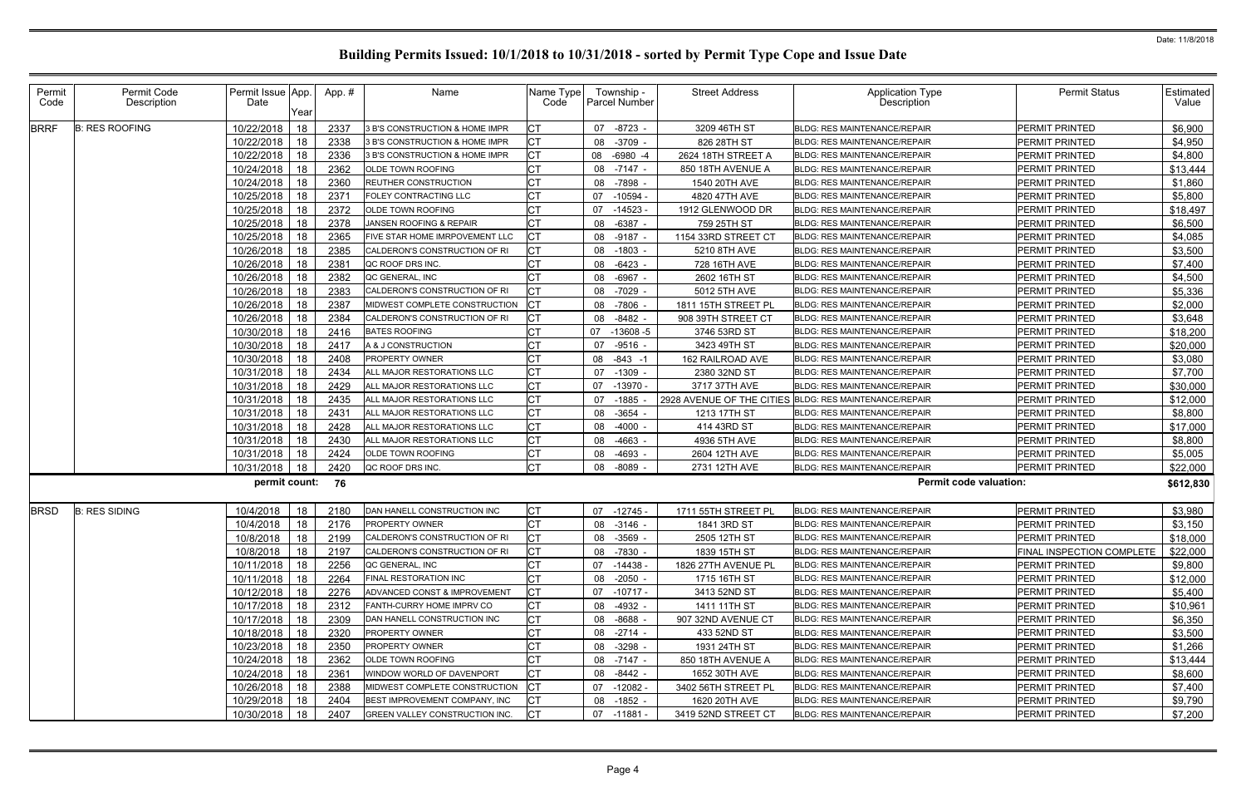| Permit<br>Code | Permit Code<br>Description | Permit Issue App.<br>Date | Year | App.# | Name                           | Name Type<br>Code | Township -<br>Parcel Number | <b>Street Address</b> | <b>Application Type</b><br>Description                 | <b>Permit Status</b>      | <b>Estimated</b><br>Value |
|----------------|----------------------------|---------------------------|------|-------|--------------------------------|-------------------|-----------------------------|-----------------------|--------------------------------------------------------|---------------------------|---------------------------|
| <b>BRRF</b>    | <b>B: RES ROOFING</b>      | 10/22/2018                | 18   | 2337  | 3 B'S CONSTRUCTION & HOME IMPR |                   | 07 -8723                    | 3209 46TH ST          | <b>BLDG: RES MAINTENANCE/REPAIR</b>                    | PERMIT PRINTED            | \$6,900                   |
|                |                            | 10/22/2018                | 18   | 2338  | 3 B'S CONSTRUCTION & HOME IMPR | СT                | 08 -3709                    | 826 28TH ST           | <b>BLDG: RES MAINTENANCE/REPAIR</b>                    | PERMIT PRINTED            | \$4,950                   |
|                |                            | 10/22/2018                | 18   | 2336  | 3 B'S CONSTRUCTION & HOME IMPR |                   | 08 -6980 -4                 | 2624 18TH STREET A    | <b>BLDG: RES MAINTENANCE/REPAIR</b>                    | PERMIT PRINTED            | \$4,800                   |
|                |                            | 10/24/2018                | 18   | 2362  | OLDE TOWN ROOFING              |                   | 08 -7147 -                  | 850 18TH AVENUE A     | <b>BLDG: RES MAINTENANCE/REPAIR</b>                    | PERMIT PRINTED            | \$13,444                  |
|                |                            | 10/24/2018                | 18   | 2360  | REUTHER CONSTRUCTION           |                   | 08 -7898                    | 1540 20TH AVE         | <b>BLDG: RES MAINTENANCE/REPAIR</b>                    | PERMIT PRINTED            | \$1,860                   |
|                |                            | 10/25/2018                | 18   | 2371  | <b>FOLEY CONTRACTING LLC</b>   |                   | $-10594$<br>07              | 4820 47TH AVE         | <b>BLDG: RES MAINTENANCE/REPAIR</b>                    | PERMIT PRINTED            | \$5,800                   |
|                |                            | 10/25/2018                | 18   | 2372  | <b>OLDE TOWN ROOFING</b>       |                   | $-14523$<br>07              | 1912 GLENWOOD DR      | <b>BLDG: RES MAINTENANCE/REPAIR</b>                    | PERMIT PRINTED            | \$18,497                  |
|                |                            | 10/25/2018                | 18   | 2378  | JANSEN ROOFING & REPAIR        |                   | 08 -6387 -                  | 759 25TH ST           | <b>BLDG: RES MAINTENANCE/REPAIR</b>                    | PERMIT PRINTED            | \$6,500                   |
|                |                            | 10/25/2018                | 18   | 2365  | FIVE STAR HOME IMRPOVEMENT LLC |                   | 08 -9187                    | 1154 33RD STREET CT   | <b>BLDG: RES MAINTENANCE/REPAIR</b>                    | PERMIT PRINTED            | \$4,085                   |
|                |                            | 10/26/2018                | 18   | 2385  | CALDERON'S CONSTRUCTION OF RI  |                   | 08 -1803                    | 5210 8TH AVE          | <b>BLDG: RES MAINTENANCE/REPAIR</b>                    | PERMIT PRINTED            | \$3,500                   |
|                |                            | 10/26/2018                | 18   | 2381  | QC ROOF DRS INC.               |                   | -6423<br>08                 | 728 16TH AVE          | <b>BLDG: RES MAINTENANCE/REPAIR</b>                    | PERMIT PRINTED            | \$7,400                   |
|                |                            | 10/26/2018                | 18   | 2382  | QC GENERAL. INC                |                   | -6967<br>08                 | 2602 16TH ST          | <b>BLDG: RES MAINTENANCE/REPAIR</b>                    | PERMIT PRINTED            | \$4,500                   |
|                |                            | 10/26/2018                | 18   | 2383  | CALDERON'S CONSTRUCTION OF RI  |                   | 08 -7029                    | 5012 5TH AVE          | <b>BLDG: RES MAINTENANCE/REPAIR</b>                    | PERMIT PRINTED            | \$5,336                   |
|                |                            | 10/26/2018 18             |      | 2387  | MIDWEST COMPLETE CONSTRUCTION  |                   | 08 -7806                    | 1811 15TH STREET PL   | <b>BLDG: RES MAINTENANCE/REPAIR</b>                    | PERMIT PRINTED            | \$2,000                   |
|                |                            | 10/26/2018                | 18   | 2384  | CALDERON'S CONSTRUCTION OF RI  | СT                | $-8482$<br>08               | 908 39TH STREET CT    | <b>BLDG: RES MAINTENANCE/REPAIR</b>                    | PERMIT PRINTED            | \$3,648                   |
|                |                            | 10/30/2018                | 18   | 2416  | <b>BATES ROOFING</b>           |                   | $-13608 - 5$<br>07          | 3746 53RD ST          | <b>BLDG: RES MAINTENANCE/REPAIR</b>                    | <b>PERMIT PRINTED</b>     | \$18,200                  |
|                |                            | 10/30/2018                | 18   | 2417  | A & J CONSTRUCTION             |                   | -9516 -<br>07               | 3423 49TH ST          | <b>BLDG: RES MAINTENANCE/REPAIR</b>                    | <b>PERMIT PRINTED</b>     | \$20,000                  |
|                |                            | 10/30/2018                | 18   | 2408  | PROPERTY OWNER                 |                   | 08 -843 -1                  | 162 RAILROAD AVE      | <b>BLDG: RES MAINTENANCE/REPAIR</b>                    | PERMIT PRINTED            | \$3,080                   |
|                |                            | 10/31/2018                | 18   | 2434  | ALL MAJOR RESTORATIONS LLC     |                   | 07 -1309                    | 2380 32ND ST          | <b>BLDG: RES MAINTENANCE/REPAIR</b>                    | PERMIT PRINTED            | \$7,700                   |
|                |                            | 10/31/2018                | 18   | 2429  | ALL MAJOR RESTORATIONS LLC     | <b>CT</b>         | 07 -13970                   | 3717 37TH AVE         | <b>BLDG: RES MAINTENANCE/REPAIR</b>                    | PERMIT PRINTED            | \$30,000                  |
|                |                            | 10/31/2018                | 18   | 2435  | ALL MAJOR RESTORATIONS LLC     |                   | -1885<br>07                 |                       | 2928 AVENUE OF THE CITIES BLDG: RES MAINTENANCE/REPAIR | <b>PERMIT PRINTED</b>     | \$12,000                  |
|                |                            | 10/31/2018                | 18   | 2431  | ALL MAJOR RESTORATIONS LLC     | <b>CT</b>         | 08 -3654                    | 1213 17TH ST          | <b>BLDG: RES MAINTENANCE/REPAIR</b>                    | <b>PERMIT PRINTED</b>     | \$8,800                   |
|                |                            | 10/31/2018                | 18   | 2428  | ALL MAJOR RESTORATIONS LLC     |                   | -4000<br>08                 | 414 43RD ST           | <b>BLDG: RES MAINTENANCE/REPAIR</b>                    | PERMIT PRINTED            | \$17,000                  |
|                |                            | 10/31/2018                | 18   | 2430  | ALL MAJOR RESTORATIONS LLC     | <b>CT</b>         | -4663<br>08                 | 4936 5TH AVE          | <b>BLDG: RES MAINTENANCE/REPAIR</b>                    | PERMIT PRINTED            | \$8,800                   |
|                |                            | 10/31/2018                | 18   | 2424  | <b>OLDE TOWN ROOFING</b>       |                   | -4693<br>08                 | 2604 12TH AVE         | <b>BLDG: RES MAINTENANCE/REPAIR</b>                    | PERMIT PRINTED            | \$5,005                   |
|                |                            | 10/31/2018                | 18   | 2420  | QC ROOF DRS INC.               | <b>CT</b>         | 08 -8089                    | 2731 12TH AVE         | BLDG: RES MAINTENANCE/REPAIR                           | <b>PERMIT PRINTED</b>     | \$22,000                  |
|                |                            | permit count:             |      | 76    |                                |                   |                             |                       | <b>Permit code valuation:</b>                          |                           | \$612,830                 |
| <b>BRSD</b>    | <b>B: RES SIDING</b>       | 10/4/2018                 | 18   | 2180  | DAN HANELL CONSTRUCTION INC    | <b>ICT</b>        | 07 -12745 -                 | 1711 55TH STREET PL   | <b>BLDG: RES MAINTENANCE/REPAIR</b>                    | PERMIT PRINTED            | \$3,980                   |
|                |                            | 10/4/2018                 | 18   | 2176  | PROPERTY OWNER                 |                   | 08 -3146 -                  | 1841 3RD ST           | <b>BLDG: RES MAINTENANCE/REPAIR</b>                    | PERMIT PRINTED            | \$3,150                   |
|                |                            | 10/8/2018 18              |      | 2199  | CALDERON'S CONSTRUCTION OF RI  | CT                | 08 -3569 -                  | 2505 12TH ST          | BLDG: RES MAINTENANCE/REPAIR                           | PERMIT PRINTED            | \$18,000                  |
|                |                            | 10/8/2018                 | 18   | 2197  | CALDERON'S CONSTRUCTION OF RI  |                   | 08 -7830 -                  | 1839 15TH ST          | <b>BLDG: RES MAINTENANCE/REPAIR</b>                    | FINAL INSPECTION COMPLETE | \$22,000                  |
|                |                            | 10/11/2018   18           |      | 2256  | QC GENERAL, INC                |                   | 07 -14438 -                 | 1826 27TH AVENUE PL   | <b>BLDG: RES MAINTENANCE/REPAIR</b>                    | <b>PERMIT PRINTED</b>     | \$9,800                   |
|                |                            | 10/11/2018                | 18   | 2264  | FINAL RESTORATION INC          |                   | 08 -2050 -                  | 1715 16TH ST          | <b>BLDG: RES MAINTENANCE/REPAIR</b>                    | PERMIT PRINTED            | \$12,000                  |
|                |                            | 10/12/2018 18             |      | 2276  | ADVANCED CONST & IMPROVEMENT   |                   | 07 -10717 -                 | 3413 52ND ST          | <b>BLDG: RES MAINTENANCE/REPAIR</b>                    | PERMIT PRINTED            | \$5,400                   |
|                |                            | 10/17/2018                | 18   | 2312  | FANTH-CURRY HOME IMPRV CO      | <b>CT</b>         | 08 -4932 -                  | 1411 11TH ST          | <b>BLDG: RES MAINTENANCE/REPAIR</b>                    | PERMIT PRINTED            | \$10,961                  |
|                |                            | 10/17/2018   18           |      | 2309  | DAN HANELL CONSTRUCTION INC    |                   | 08 -8688 -                  | 907 32ND AVENUE CT    | <b>BLDG: RES MAINTENANCE/REPAIR</b>                    | PERMIT PRINTED            | \$6,350                   |
|                |                            | 10/18/2018                | 18   | 2320  | PROPERTY OWNER                 |                   | 08 -2714 -                  | 433 52ND ST           | <b>BLDG: RES MAINTENANCE/REPAIR</b>                    | <b>PERMIT PRINTED</b>     | \$3,500                   |
|                |                            | 10/23/2018   18           |      | 2350  | PROPERTY OWNER                 |                   | 08 -3298 -                  | 1931 24TH ST          | BLDG: RES MAINTENANCE/REPAIR                           | PERMIT PRINTED            | \$1,266                   |
|                |                            | 10/24/2018                | 18   | 2362  | OLDE TOWN ROOFING              |                   | 08 -7147 -                  | 850 18TH AVENUE A     | <b>BLDG: RES MAINTENANCE/REPAIR</b>                    | PERMIT PRINTED            | \$13,444                  |
|                |                            | 10/24/2018                | 18   | 2361  | WINDOW WORLD OF DAVENPORT      |                   | 08 -8442 -                  | 1652 30TH AVE         | <b>BLDG: RES MAINTENANCE/REPAIR</b>                    | PERMIT PRINTED            | \$8,600                   |
|                |                            | 10/26/2018                | 18   | 2388  | MIDWEST COMPLETE CONSTRUCTION  |                   | 07 -12082 -                 | 3402 56TH STREET PL   | <b>BLDG: RES MAINTENANCE/REPAIR</b>                    | PERMIT PRINTED            | \$7,400                   |
|                |                            | 10/29/2018                | 18   | 2404  | BEST IMPROVEMENT COMPANY, INC  |                   | 08 -1852 -                  | 1620 20TH AVE         | BLDG: RES MAINTENANCE/REPAIR                           | PERMIT PRINTED            | \$9,790                   |
|                |                            | 10/30/2018   18           |      | 2407  | GREEN VALLEY CONSTRUCTION INC. |                   | 07 -11881 -                 | 3419 52ND STREET CT   | <b>BLDG: RES MAINTENANCE/REPAIR</b>                    | PERMIT PRINTED            | \$7,200                   |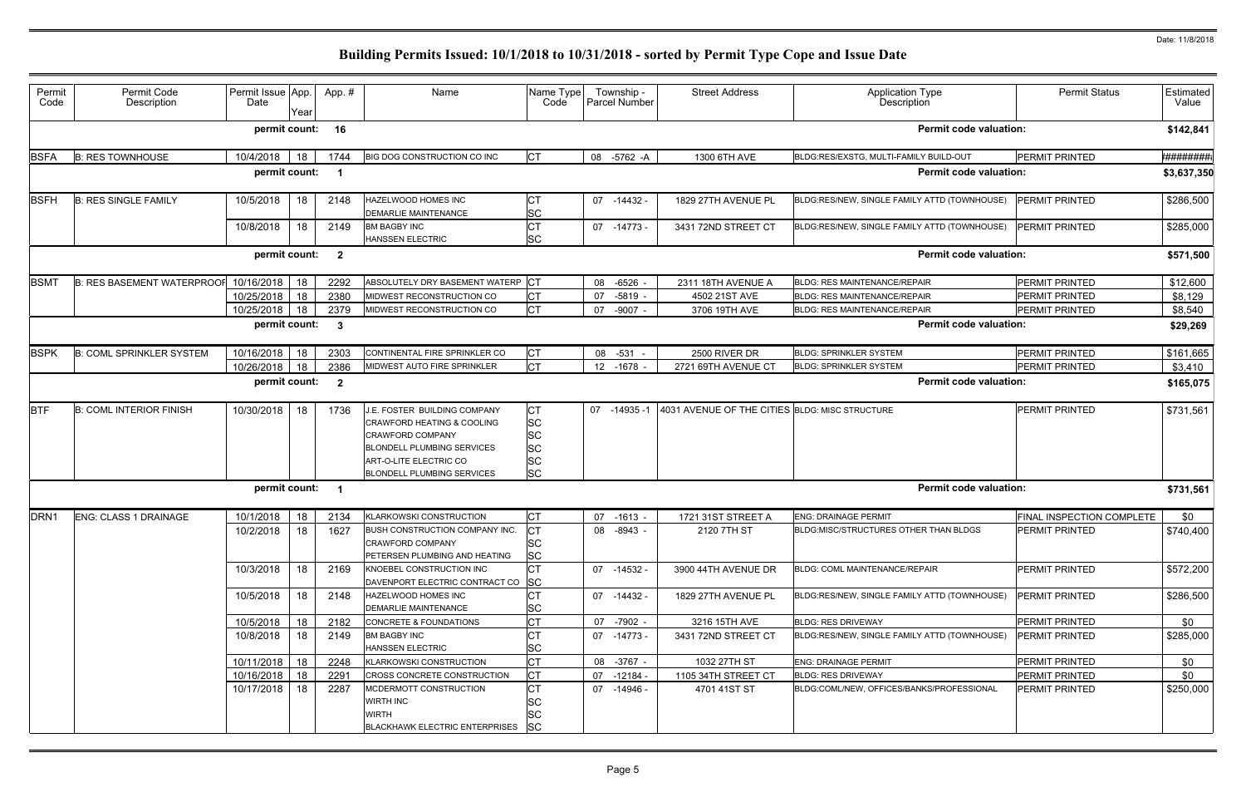| Permit<br>Code | Permit Code<br>Description        | Permit Issue App.<br>Date | Year | App.#                   | Name                                                                                                                                                                                      | Name Type<br>Code                                                          | Township -<br>Parcel Number | <b>Street Address</b>                          | <b>Application Type</b><br>Description       | <b>Permit Status</b>      | Estimated<br>Value |
|----------------|-----------------------------------|---------------------------|------|-------------------------|-------------------------------------------------------------------------------------------------------------------------------------------------------------------------------------------|----------------------------------------------------------------------------|-----------------------------|------------------------------------------------|----------------------------------------------|---------------------------|--------------------|
|                |                                   | permit count:             |      | 16                      |                                                                                                                                                                                           |                                                                            |                             |                                                | <b>Permit code valuation:</b>                |                           | \$142,841          |
| <b>BSFA</b>    | <b>B: RES TOWNHOUSE</b>           | 10/4/2018                 | 18   | 1744                    | <b>BIG DOG CONSTRUCTION CO INC</b>                                                                                                                                                        | <b>CT</b>                                                                  | 08 -5762 -A                 | 1300 6TH AVE                                   | BLDG:RES/EXSTG, MULTI-FAMILY BUILD-OUT       | PERMIT PRINTED            | <b>*########</b>   |
|                |                                   | permit count:             |      | - 1                     |                                                                                                                                                                                           |                                                                            |                             |                                                | <b>Permit code valuation:</b>                |                           | \$3,637,350        |
| <b>BSFH</b>    | <b>B: RES SINGLE FAMILY</b>       | 10/5/2018                 | 18   | 2148                    | <b>HAZELWOOD HOMES INC</b><br><b>DEMARLIE MAINTENANCE</b>                                                                                                                                 | СT<br><b>SC</b>                                                            | 07 -14432 -                 | 1829 27TH AVENUE PL                            | BLDG:RES/NEW, SINGLE FAMILY ATTD (TOWNHOUSE) | PERMIT PRINTED            | \$286,500          |
|                |                                   | 10/8/2018                 | 18   | 2149                    | <b>BM BAGBY INC</b><br><b>HANSSEN ELECTRIC</b>                                                                                                                                            | <b>CT</b><br><b>SC</b>                                                     | $07 - 14773$                | 3431 72ND STREET CT                            | BLDG:RES/NEW, SINGLE FAMILY ATTD (TOWNHOUSE) | PERMIT PRINTED            | \$285,000          |
|                |                                   | permit count:             |      | $\overline{\mathbf{2}}$ |                                                                                                                                                                                           |                                                                            |                             |                                                | <b>Permit code valuation:</b>                |                           | \$571,500          |
| <b>BSMT</b>    | <b>B: RES BASEMENT WATERPROOF</b> | 10/16/2018                | 18   | 2292                    | ABSOLUTELY DRY BASEMENT WATERP CT                                                                                                                                                         |                                                                            | 08 -6526 -                  | 2311 18TH AVENUE A                             | <b>BLDG: RES MAINTENANCE/REPAIR</b>          | PERMIT PRINTED            | \$12,600           |
|                |                                   | 10/25/2018                | 18   | 2380                    | MIDWEST RECONSTRUCTION CO                                                                                                                                                                 | <b>CT</b>                                                                  | $-5819 -$<br>07             | 4502 21ST AVE                                  | <b>BLDG: RES MAINTENANCE/REPAIR</b>          | PERMIT PRINTED            | \$8,129            |
|                |                                   | 10/25/2018                | 18   | 2379                    | MIDWEST RECONSTRUCTION CO                                                                                                                                                                 | <b>CT</b>                                                                  | 07 -9007 -                  | 3706 19TH AVE                                  | <b>BLDG: RES MAINTENANCE/REPAIR</b>          | PERMIT PRINTED            | \$8,540            |
|                |                                   | permit count:             |      | $\mathbf{3}$            |                                                                                                                                                                                           |                                                                            |                             |                                                | <b>Permit code valuation:</b>                |                           | \$29,269           |
| <b>BSPK</b>    | <b>B: COML SPRINKLER SYSTEM</b>   | 10/16/2018                | 18   | 2303                    | CONTINENTAL FIRE SPRINKLER CO                                                                                                                                                             | <b>CT</b>                                                                  | 08 -531 -                   | 2500 RIVER DR                                  | <b>BLDG: SPRINKLER SYSTEM</b>                | PERMIT PRINTED            | \$161,665          |
|                |                                   | 10/26/2018                | 18   | 2386                    | MIDWEST AUTO FIRE SPRINKLER                                                                                                                                                               | <b>CT</b>                                                                  | 12 -1678 -                  | 2721 69TH AVENUE CT                            | <b>BLDG: SPRINKLER SYSTEM</b>                | PERMIT PRINTED            | \$3,410            |
|                |                                   | permit count:             |      | $\overline{\mathbf{2}}$ |                                                                                                                                                                                           |                                                                            |                             |                                                | <b>Permit code valuation:</b>                |                           | \$165,075          |
| <b>BTF</b>     | <b>B: COML INTERIOR FINISH</b>    | 10/30/2018                | 18   | 1736                    | J.E. FOSTER BUILDING COMPANY<br>CRAWFORD HEATING & COOLING<br><b>CRAWFORD COMPANY</b><br><b>BLONDELL PLUMBING SERVICES</b><br>ART-O-LITE ELECTRIC CO<br><b>BLONDELL PLUMBING SERVICES</b> | <b>CT</b><br><b>SC</b><br><b>SC</b><br><b>SC</b><br><b>SC</b><br><b>SC</b> | $-14935-1$<br>07            | 4031 AVENUE OF THE CITIES BLDG: MISC STRUCTURE |                                              | PERMIT PRINTED            | \$731,561          |
|                |                                   | permit count:             |      | - 1                     |                                                                                                                                                                                           |                                                                            |                             |                                                | <b>Permit code valuation:</b>                |                           | \$731,561          |
| DRN1           | <b>ENG: CLASS 1 DRAINAGE</b>      | 10/1/2018                 | 18   | 2134                    | KLARKOWSKI CONSTRUCTION                                                                                                                                                                   | <b>CT</b>                                                                  | $-1613 -$<br>07             | 1721 31ST STREET A                             | <b>ENG: DRAINAGE PERMIT</b>                  | FINAL INSPECTION COMPLETE | \$0                |
|                |                                   | 10/2/2018                 | 18   | 1627                    | BUSH CONSTRUCTION COMPANY INC.<br><b>CRAWFORD COMPANY</b><br><b>PETERSEN PLUMBING AND HEATING</b>                                                                                         | <b>CT</b><br><b>SC</b><br><b>SC</b>                                        | 08 -8943 -                  | 2120 7TH ST                                    | BLDG:MISC/STRUCTURES OTHER THAN BLDGS        | PERMIT PRINTED            | \$740,400          |
|                |                                   | 10/3/2018                 | 18   | 2169                    | KNOEBEL CONSTRUCTION INC<br>DAVENPORT ELECTRIC CONTRACT CO SC                                                                                                                             | <b>CT</b>                                                                  | 07 -14532 -                 | 3900 44TH AVENUE DR                            | BLDG: COML MAINTENANCE/REPAIR                | PERMIT PRINTED            | \$572,200          |
|                |                                   | 10/5/2018                 | 18   | 2148                    | <b>HAZELWOOD HOMES INC</b><br>DEMARLIE MAINTENANCE                                                                                                                                        | <b>CT</b><br><b>SC</b>                                                     | 07 -14432 -                 | 1829 27TH AVENUE PL                            | BLDG:RES/NEW, SINGLE FAMILY ATTD (TOWNHOUSE) | PERMIT PRINTED            | \$286,500          |
|                |                                   | 10/5/2018                 | 18   | 2182                    | CONCRETE & FOUNDATIONS                                                                                                                                                                    | <b>CT</b>                                                                  | 07 -7902 -                  | 3216 15TH AVE                                  | <b>BLDG: RES DRIVEWAY</b>                    | PERMIT PRINTED            | \$0                |
|                |                                   | 10/8/2018                 | 18   | 2149                    | <b>BM BAGBY INC</b><br><b>HANSSEN ELECTRIC</b>                                                                                                                                            | <b>CT</b><br><b>SC</b>                                                     | 07 -14773 -                 | 3431 72ND STREET CT                            | BLDG:RES/NEW, SINGLE FAMILY ATTD (TOWNHOUSE) | PERMIT PRINTED            | \$285,000          |
|                |                                   | 10/11/2018                | 18   | 2248                    | KLARKOWSKI CONSTRUCTION                                                                                                                                                                   | <b>CT</b>                                                                  | 08 -3767 -                  | 1032 27TH ST                                   | <b>ENG: DRAINAGE PERMIT</b>                  | PERMIT PRINTED            | \$0                |
|                |                                   | 10/16/2018                | 18   | 2291                    | CROSS CONCRETE CONSTRUCTION                                                                                                                                                               | СT                                                                         | 07 -12184 -                 | 1105 34TH STREET CT                            | <b>BLDG: RES DRIVEWAY</b>                    | PERMIT PRINTED            | \$0                |
|                |                                   | 10/17/2018                | 18   | 2287                    | MCDERMOTT CONSTRUCTION<br><b>WIRTH INC</b><br><b>WIRTH</b><br><b>BLACKHAWK ELECTRIC ENTERPRISES</b>                                                                                       | <b>CT</b><br><b>SC</b><br><b>SC</b><br><b>SC</b>                           | 07 -14946 -                 | 4701 41ST ST                                   | BLDG:COML/NEW, OFFICES/BANKS/PROFESSIONAL    | PERMIT PRINTED            | \$250,000          |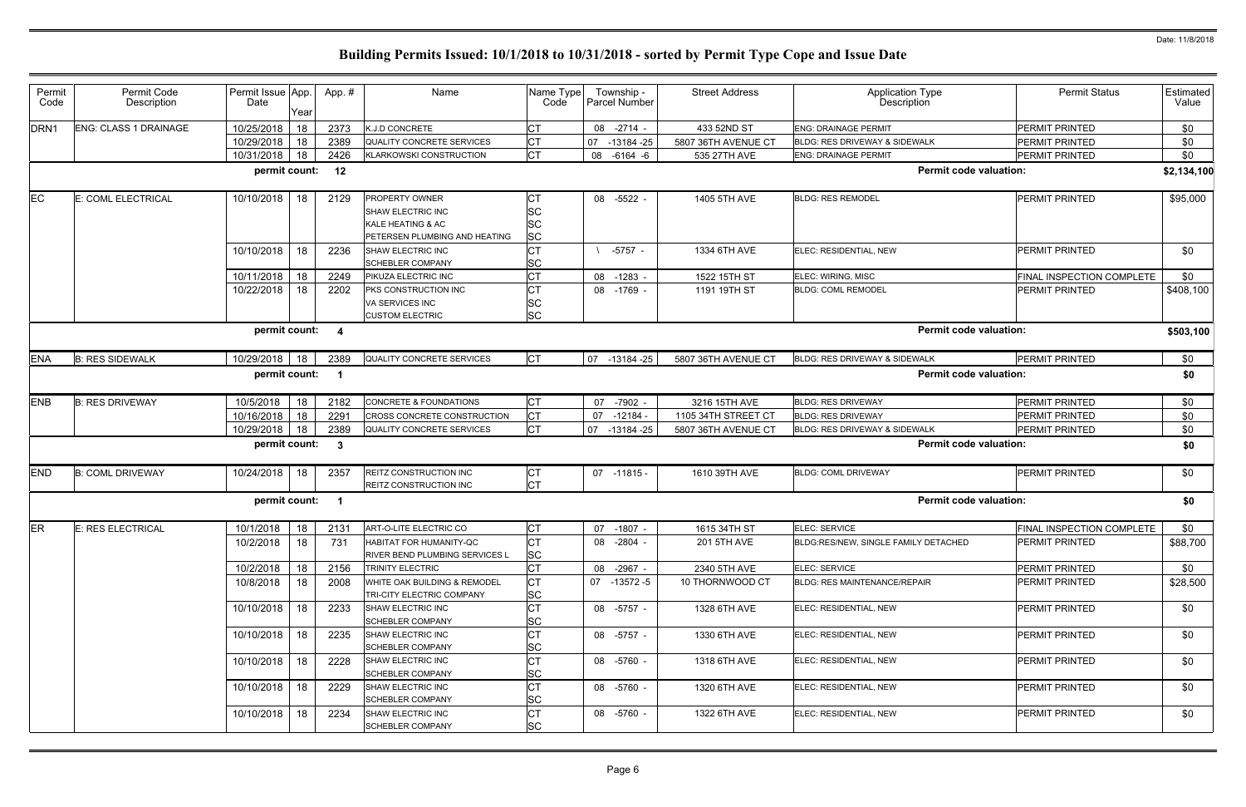| Permit<br>Code   | Permit Code<br>Description   | Permit Issue App.<br>Date | Year | App. #       | Name                                                                                             | Name Type<br>Code                   |    | Township -<br>Parcel Number | <b>Street Address</b> | <b>Application Type</b><br>Description   | <b>Permit Status</b>      | Estimated<br>Value |
|------------------|------------------------------|---------------------------|------|--------------|--------------------------------------------------------------------------------------------------|-------------------------------------|----|-----------------------------|-----------------------|------------------------------------------|---------------------------|--------------------|
| DRN <sub>1</sub> | <b>ENG: CLASS 1 DRAINAGE</b> | 10/25/2018                | 18   | 2373         | K.J.D CONCRETE                                                                                   | <b>CT</b>                           |    | 08 -2714 -                  | 433 52ND ST           | <b>ENG: DRAINAGE PERMIT</b>              | PERMIT PRINTED            | \$0                |
|                  |                              | 10/29/2018                | 18   | 2389         | QUALITY CONCRETE SERVICES                                                                        | <b>CT</b>                           | 07 | $-13184 - 25$               | 5807 36TH AVENUE CT   | <b>BLDG: RES DRIVEWAY &amp; SIDEWALK</b> | PERMIT PRINTED            | \$0                |
|                  |                              | 10/31/2018                | 18   | 2426         | <b>KLARKOWSKI CONSTRUCTION</b>                                                                   | <b>CT</b>                           | 08 | $-6164 - 6$                 | 535 27TH AVE          | <b>ENG: DRAINAGE PERMIT</b>              | PERMIT PRINTED            | \$0                |
|                  |                              | permit count:             |      | 12           |                                                                                                  |                                     |    |                             |                       | <b>Permit code valuation:</b>            |                           | \$2,134,100        |
| EC               | E: COML ELECTRICAL           | 10/10/2018                | 18   | 2129         | PROPERTY OWNER<br><b>SHAW ELECTRIC INC</b><br>KALE HEATING & AC<br>PETERSEN PLUMBING AND HEATING | <b>SC</b><br><b>SC</b><br><b>SC</b> |    | 08 -5522                    | 1405 5TH AVE          | <b>BLDG: RES REMODEL</b>                 | <b>PERMIT PRINTED</b>     | \$95,000           |
|                  |                              | 10/10/2018                | 18   | 2236         | SHAW ELECTRIC INC<br>SCHEBLER COMPANY                                                            | Iст<br><b>SC</b>                    |    | $-5757 -$                   | 1334 6TH AVE          | ELEC: RESIDENTIAL, NEW                   | PERMIT PRINTED            | \$0                |
|                  |                              | 10/11/2018                | 18   | 2249         | PIKUZA ELECTRIC INC                                                                              | <b>CT</b>                           |    | 08 -1283 -                  | 1522 15TH ST          | ELEC: WIRING, MISC                       | FINAL INSPECTION COMPLETE | \$0                |
|                  |                              | 10/22/2018                | 18   | 2202         | PKS CONSTRUCTION INC<br>VA SERVICES INC<br><b>CUSTOM ELECTRIC</b>                                | Iст<br><b>SC</b><br><b>SC</b>       |    | 08 -1769 -                  | 1191 19TH ST          | <b>BLDG: COML REMODEL</b>                | PERMIT PRINTED            | \$408,100          |
|                  |                              | permit count:             |      | -4           |                                                                                                  |                                     |    |                             |                       | <b>Permit code valuation:</b>            |                           | \$503,100          |
| <b>ENA</b>       | <b>B: RES SIDEWALK</b>       | 10/29/2018                | 18   | 2389         | <b>QUALITY CONCRETE SERVICES</b>                                                                 | <b>CT</b>                           | 07 | -13184 -25                  | 5807 36TH AVENUE CT   | <b>BLDG: RES DRIVEWAY &amp; SIDEWALK</b> | PERMIT PRINTED            | \$0                |
|                  |                              | permit count:             |      | - 1          |                                                                                                  |                                     |    |                             |                       | <b>Permit code valuation:</b>            |                           | \$0                |
| <b>ENB</b>       | <b>B: RES DRIVEWAY</b>       | 10/5/2018                 | 18   | 2182         | CONCRETE & FOUNDATIONS                                                                           | <b>CT</b>                           |    | 07 -7902 -                  | 3216 15TH AVE         | <b>BLDG: RES DRIVEWAY</b>                | PERMIT PRINTED            | \$0                |
|                  |                              | 10/16/2018                | 18   | 2291         | CROSS CONCRETE CONSTRUCTION                                                                      | <b>CT</b>                           | 07 | $-12184$                    | 1105 34TH STREET CT   | <b>BLDG: RES DRIVEWAY</b>                | PERMIT PRINTED            | \$0                |
|                  |                              | 10/29/2018                | 18   | 2389         | QUALITY CONCRETE SERVICES                                                                        | <b>CT</b>                           | 07 | -13184 -25                  | 5807 36TH AVENUE CT   | BLDG: RES DRIVEWAY & SIDEWALK            | PERMIT PRINTED            | \$0                |
|                  |                              | permit count:             |      | $\mathbf{3}$ |                                                                                                  |                                     |    |                             |                       | <b>Permit code valuation:</b>            |                           | \$0                |
| <b>END</b>       | <b>B: COML DRIVEWAY</b>      | 10/24/2018                | 18   | 2357         | REITZ CONSTRUCTION INC<br>REITZ CONSTRUCTION INC                                                 | <b>CT</b><br><b>CT</b>              |    | 07 -11815 -                 | 1610 39TH AVE         | <b>BLDG: COML DRIVEWAY</b>               | PERMIT PRINTED            | \$0                |
|                  |                              | permit count:             |      | - 1          |                                                                                                  |                                     |    |                             |                       | <b>Permit code valuation:</b>            |                           | \$0                |
| ER               | E: RES ELECTRICAL            | 10/1/2018                 | 18   | 2131         | ART-O-LITE ELECTRIC CO                                                                           | <b>CT</b>                           |    | 07 -1807 -                  | 1615 34TH ST          | ELEC: SERVICE                            | FINAL INSPECTION COMPLETE | \$0                |
|                  |                              | 10/2/2018                 | 18   | 731          | HABITAT FOR HUMANITY-QC<br>RIVER BEND PLUMBING SERVICES L                                        | <b>CT</b><br><b>SC</b>              |    | 08 -2804 -                  | 201 5TH AVE           | BLDG:RES/NEW, SINGLE FAMILY DETACHED     | <b>PERMIT PRINTED</b>     | \$88,700           |
|                  |                              | 10/2/2018                 | 18   | 2156         | TRINITY ELECTRIC                                                                                 | <b>CT</b>                           |    | 08 -2967 -                  | 2340 5TH AVE          | ELEC: SERVICE                            | PERMIT PRINTED            | \$0                |
|                  |                              | 10/8/2018                 | 18   | 2008         | WHITE OAK BUILDING & REMODEL<br>TRI-CITY ELECTRIC COMPANY                                        | IСТ<br><b>SC</b>                    |    | 07 -13572 -5                | 10 THORNWOOD CT       | <b>BLDG: RES MAINTENANCE/REPAIR</b>      | PERMIT PRINTED            | \$28,500           |
|                  |                              | 10/10/2018                | 18   | 2233         | SHAW ELECTRIC INC<br><b>SCHEBLER COMPANY</b>                                                     | <b>CT</b><br><b>SC</b>              |    | 08 -5757 -                  | 1328 6TH AVE          | ELEC: RESIDENTIAL, NEW                   | PERMIT PRINTED            | \$0                |
|                  |                              | 10/10/2018                | 18   | 2235         | SHAW ELECTRIC INC<br><b>SCHEBLER COMPANY</b>                                                     | <b>CT</b><br><b>SC</b>              |    | 08 -5757 -                  | 1330 6TH AVE          | ELEC: RESIDENTIAL, NEW                   | PERMIT PRINTED            | \$0                |
|                  |                              | 10/10/2018                | 18   | 2228         | SHAW ELECTRIC INC<br>SCHEBLER COMPANY                                                            | <b>CT</b><br><b>SC</b>              |    | 08 -5760 -                  | 1318 6TH AVE          | ELEC: RESIDENTIAL, NEW                   | PERMIT PRINTED            | \$0                |
|                  |                              | 10/10/2018                | 18   | 2229         | SHAW ELECTRIC INC<br><b>SCHEBLER COMPANY</b>                                                     | <b>CT</b><br><b>SC</b>              |    | 08 -5760 -                  | 1320 6TH AVE          | ELEC: RESIDENTIAL, NEW                   | PERMIT PRINTED            | \$0                |
|                  |                              | 10/10/2018                | 18   | 2234         | SHAW ELECTRIC INC<br><b>SCHEBLER COMPANY</b>                                                     | <b>CT</b><br><b>SC</b>              |    | 08 -5760 -                  | 1322 6TH AVE          | ELEC: RESIDENTIAL, NEW                   | PERMIT PRINTED            | \$0                |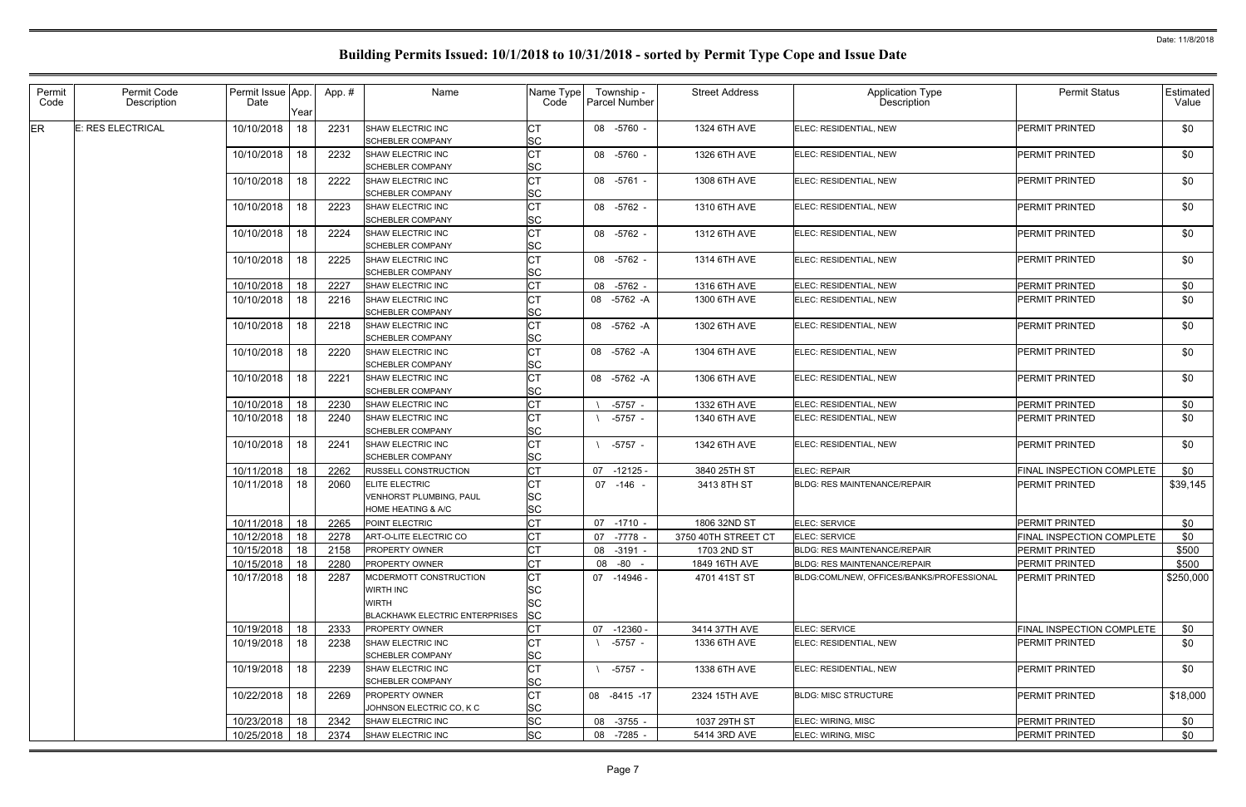| Permit<br>Code | Permit Code<br>Description | Permit Issue App.<br>Date | Year | App.# | Name                                                                                         | Name Type<br>Code                         |    | Township -<br><b>Parcel Number</b> | <b>Street Address</b> | <b>Application Type</b><br>Description    | <b>Permit Status</b>             | <b>Estimated</b><br>Value |
|----------------|----------------------------|---------------------------|------|-------|----------------------------------------------------------------------------------------------|-------------------------------------------|----|------------------------------------|-----------------------|-------------------------------------------|----------------------------------|---------------------------|
| ER             | <b>E: RES ELECTRICAL</b>   | 10/10/2018                | 18   | 2231  | <b>SHAW ELECTRIC INC</b><br><b>SCHEBLER COMPANY</b>                                          | IC1<br><b>SC</b>                          |    | 08 -5760 -                         | 1324 6TH AVE          | ELEC: RESIDENTIAL, NEW                    | PERMIT PRINTED                   | \$0                       |
|                |                            | 10/10/2018                | 18   | 2232  | SHAW ELECTRIC INC<br><b>SCHEBLER COMPANY</b>                                                 | Iст<br><b>SC</b>                          |    | 08 -5760 -                         | 1326 6TH AVE          | ELEC: RESIDENTIAL, NEW                    | PERMIT PRINTED                   | \$0                       |
|                |                            | 10/10/2018                | 18   | 2222  | SHAW ELECTRIC INC<br><b>SCHEBLER COMPANY</b>                                                 | <b>CT</b><br><b>SC</b>                    |    | 08 -5761 -                         | 1308 6TH AVE          | ELEC: RESIDENTIAL, NEW                    | PERMIT PRINTED                   | \$0                       |
|                |                            | 10/10/2018                | 18   | 2223  | SHAW ELECTRIC INC<br><b>SCHEBLER COMPANY</b>                                                 | IСТ<br><b>SC</b>                          |    | 08 -5762 -                         | 1310 6TH AVE          | ELEC: RESIDENTIAL, NEW                    | <b>PERMIT PRINTED</b>            | \$0                       |
|                |                            | 10/10/2018                | 18   | 2224  | SHAW ELECTRIC INC<br><b>SCHEBLER COMPANY</b>                                                 | <b>CT</b><br><b>SC</b>                    |    | 08 -5762 -                         | 1312 6TH AVE          | ELEC: RESIDENTIAL, NEW                    | <b>PERMIT PRINTED</b>            | \$0                       |
|                |                            | 10/10/2018                | 18   | 2225  | SHAW ELECTRIC INC<br><b>SCHEBLER COMPANY</b>                                                 | <b>CT</b><br><b>SC</b>                    |    | 08 -5762 -                         | 1314 6TH AVE          | ELEC: RESIDENTIAL, NEW                    | PERMIT PRINTED                   | \$0                       |
|                |                            | 10/10/2018                | 18   | 2227  | <b>SHAW ELECTRIC INC</b>                                                                     | <b>CT</b>                                 |    | 08 -5762 -                         | 1316 6TH AVE          | ELEC: RESIDENTIAL, NEW                    | PERMIT PRINTED                   | \$0                       |
|                |                            | 10/10/2018                | 18   | 2216  | SHAW ELECTRIC INC<br><b>SCHEBLER COMPANY</b>                                                 | IC1<br><b>SC</b>                          |    | 08 -5762 -A                        | 1300 6TH AVE          | ELEC: RESIDENTIAL, NEW                    | PERMIT PRINTED                   | \$0                       |
|                |                            | 10/10/2018                | 18   | 2218  | SHAW ELECTRIC INC<br><b>SCHEBLER COMPANY</b>                                                 | <b>ICT</b><br><b>SC</b>                   |    | 08 -5762 -A                        | 1302 6TH AVE          | ELEC: RESIDENTIAL, NEW                    | <b>PERMIT PRINTED</b>            | \$0                       |
|                |                            | 10/10/2018                | 18   | 2220  | SHAW ELECTRIC INC<br><b>SCHEBLER COMPANY</b>                                                 | <b>CT</b><br><b>SC</b>                    |    | 08 -5762 -A                        | 1304 6TH AVE          | ELEC: RESIDENTIAL, NEW                    | PERMIT PRINTED                   | \$0                       |
|                |                            | 10/10/2018                | 18   | 2221  | SHAW ELECTRIC INC<br><b>SCHEBLER COMPANY</b>                                                 | IСТ<br><b>SC</b>                          |    | 08 -5762 -A                        | 1306 6TH AVE          | ELEC: RESIDENTIAL, NEW                    | <b>PERMIT PRINTED</b>            | \$0                       |
|                |                            | 10/10/2018                | 18   | 2230  | SHAW ELECTRIC INC                                                                            | <b>CT</b>                                 |    | $-5757 -$                          | 1332 6TH AVE          | ELEC: RESIDENTIAL, NEW                    | PERMIT PRINTED                   | \$0                       |
|                |                            | 10/10/2018                | 18   | 2240  | SHAW ELECTRIC INC<br><b>SCHEBLER COMPANY</b>                                                 | IСT<br><b>SC</b>                          |    | $-5757 -$                          | 1340 6TH AVE          | ELEC: RESIDENTIAL, NEW                    | PERMIT PRINTED                   | \$0                       |
|                |                            | 10/10/2018                | 18   | 2241  | SHAW ELECTRIC INC<br><b>SCHEBLER COMPANY</b>                                                 | <b>CT</b><br><b>SC</b>                    |    | $-5757 -$                          | 1342 6TH AVE          | ELEC: RESIDENTIAL, NEW                    | PERMIT PRINTED                   | \$0                       |
|                |                            | 10/11/2018                | 18   | 2262  | <b>RUSSELL CONSTRUCTION</b>                                                                  | <b>CT</b>                                 | 07 | $-12125 -$                         | 3840 25TH ST          | <b>ELEC: REPAIR</b>                       | FINAL INSPECTION COMPLETE        | \$0                       |
|                |                            | 10/11/2018                | 18   | 2060  | <b>ELITE ELECTRIC</b><br>VENHORST PLUMBING, PAUL<br><b>HOME HEATING &amp; A/C</b>            | СT<br><b>SC</b><br><b>SC</b>              |    | 07 -146 -                          | 3413 8TH ST           | <b>BLDG: RES MAINTENANCE/REPAIR</b>       | PERMIT PRINTED                   | \$39,145                  |
|                |                            | 10/11/2018                | 18   | 2265  | POINT ELECTRIC                                                                               | <b>CT</b>                                 |    | 07 -1710 -                         | 1806 32ND ST          | ELEC: SERVICE                             | PERMIT PRINTED                   | \$0                       |
|                |                            | 10/12/2018 18             |      | 2278  | ART-O-LITE ELECTRIC CO                                                                       | <b>CT</b>                                 |    | 07 -7778 -                         | 3750 40TH STREET CT   | ELEC: SERVICE                             | FINAL INSPECTION COMPLETE        | \$0                       |
|                |                            | 10/15/2018                | 18   | 2158  | <b>PROPERTY OWNER</b>                                                                        | Iст                                       |    | 08 -3191 -                         | 1703 2ND ST           | <b>BLDG: RES MAINTENANCE/REPAIR</b>       | PERMIT PRINTED                   | \$500                     |
|                |                            | 10/15/2018                | 18   | 2280  | <b>PROPERTY OWNER</b>                                                                        | Iст                                       |    | 08 -80 -                           | 1849 16TH AVE         | <b>BLDG: RES MAINTENANCE/REPAIR</b>       | PERMIT PRINTED                   | \$500                     |
|                |                            | 10/17/2018                | 18   | 2287  | MCDERMOTT CONSTRUCTION<br>WIRTH INC<br><b>WIRTH</b><br><b>BLACKHAWK ELECTRIC ENTERPRISES</b> | СT<br><b>SC</b><br><b>SC</b><br><b>SC</b> |    | 07 -14946 -                        | 4701 41ST ST          | BLDG:COML/NEW. OFFICES/BANKS/PROFESSIONAL | <b>PERMIT PRINTED</b>            | \$250,000                 |
|                |                            | 10/19/2018                | 18   | 2333  | <b>PROPERTY OWNER</b>                                                                        | <b>CT</b>                                 |    | 07 -12360 -                        | 3414 37TH AVE         | ELEC: SERVICE                             | <b>FINAL INSPECTION COMPLETE</b> | \$0                       |
|                |                            | 10/19/2018                | 18   | 2238  | SHAW ELECTRIC INC<br><b>SCHEBLER COMPANY</b>                                                 | IC1<br><b>SC</b>                          |    | -5757 -                            | 1336 6TH AVE          | ELEC: RESIDENTIAL, NEW                    | PERMIT PRINTED                   | \$0                       |
|                |                            | 10/19/2018                | 18   | 2239  | SHAW ELECTRIC INC<br><b>SCHEBLER COMPANY</b>                                                 | <b>CT</b><br><b>SC</b>                    |    | -5757 -                            | 1338 6TH AVE          | ELEC: RESIDENTIAL, NEW                    | PERMIT PRINTED                   | \$0                       |
|                |                            | 10/22/2018                | 18   | 2269  | <b>PROPERTY OWNER</b><br>JOHNSON ELECTRIC CO, K C                                            | Iст<br><b>SC</b>                          |    | 08 -8415 -17                       | 2324 15TH AVE         | <b>BLDG: MISC STRUCTURE</b>               | <b>PERMIT PRINTED</b>            | \$18,000                  |
|                |                            | 10/23/2018                | 18   | 2342  | SHAW ELECTRIC INC                                                                            | <b>SC</b>                                 |    | 08 -3755 -                         | 1037 29TH ST          | ELEC: WIRING, MISC                        | PERMIT PRINTED                   | \$0                       |
|                |                            | 10/25/2018   18           |      | 2374  | SHAW ELECTRIC INC                                                                            | <b>SC</b>                                 |    | 08 -7285 -                         | 5414 3RD AVE          | ELEC: WIRING, MISC                        | PERMIT PRINTED                   | \$0                       |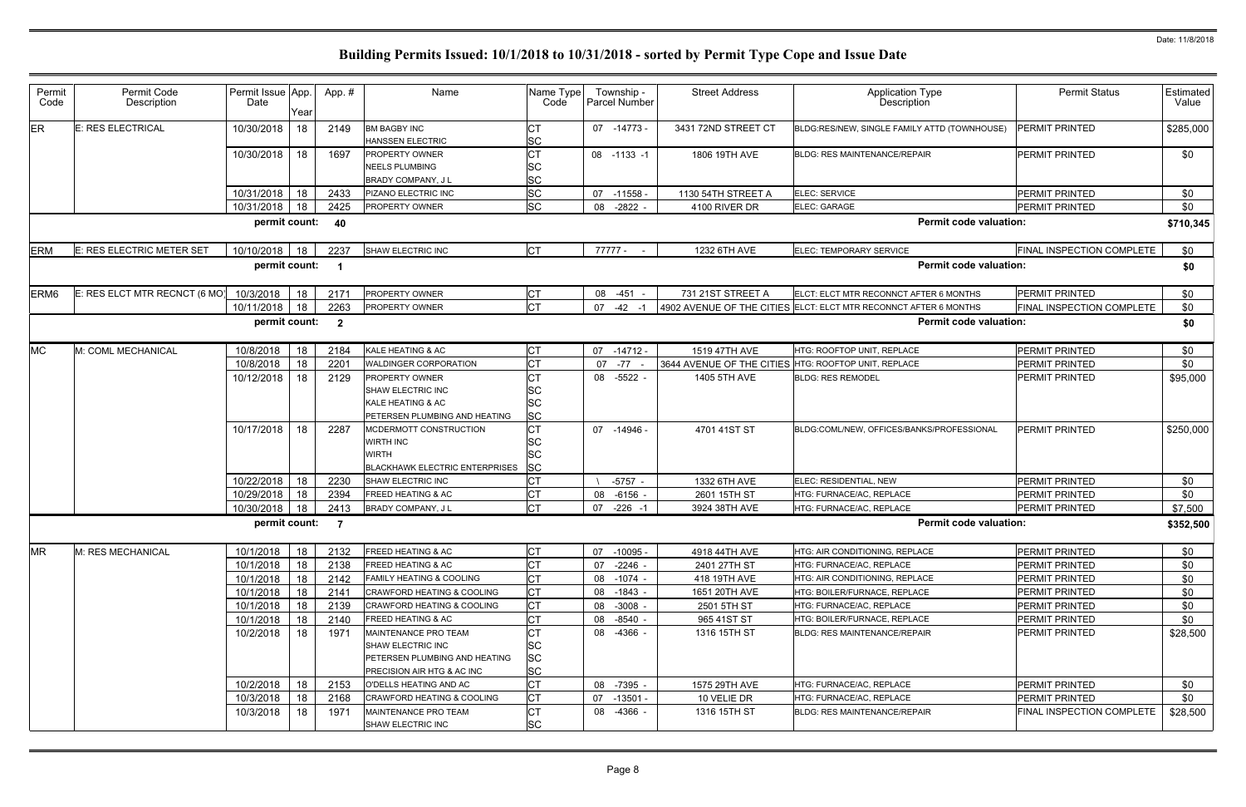| Permit<br>Code   | Permit Code<br>Description    | Permit Issue App.<br>Date | Year | App.#                   | Name                                                                                                     | Name Type<br>Code                                | Township -<br><b>Parcel Number</b> |                          | <b>Street Address</b>                                | <b>Application Type</b><br>Description                           | <b>Permit Status</b>             | <b>Estimated</b><br>Value |
|------------------|-------------------------------|---------------------------|------|-------------------------|----------------------------------------------------------------------------------------------------------|--------------------------------------------------|------------------------------------|--------------------------|------------------------------------------------------|------------------------------------------------------------------|----------------------------------|---------------------------|
| ER               | <b>E: RES ELECTRICAL</b>      | 10/30/2018                | 18   | 2149                    | <b>BM BAGBY INC</b><br>HANSSEN ELECTRIC                                                                  | <b>SC</b>                                        | 07 -14773 -                        |                          | 3431 72ND STREET CT                                  | BLDG:RES/NEW, SINGLE FAMILY ATTD (TOWNHOUSE)                     | <b>PERMIT PRINTED</b>            | \$285,000                 |
|                  |                               | 10/30/2018                | 18   | 1697                    | PROPERTY OWNER<br>NEELS PLUMBING<br>BRADY COMPANY, J L                                                   | <b>CT</b><br><b>SC</b><br><b>SC</b>              | 08 -1133 -1                        |                          | 1806 19TH AVE                                        | BLDG: RES MAINTENANCE/REPAIR                                     | PERMIT PRINTED                   | \$0                       |
|                  |                               | 10/31/2018                | 18   | 2433                    | PIZANO ELECTRIC INC                                                                                      | <b>SC</b>                                        | 07 -11558                          |                          | 1130 54TH STREET A                                   | ELEC: SERVICE                                                    | PERMIT PRINTED                   | \$0                       |
|                  |                               | 10/31/2018                | 18   | 2425                    | PROPERTY OWNER                                                                                           | <b>SC</b>                                        | 08 -2822                           |                          | 4100 RIVER DR                                        | ELEC: GARAGE                                                     | PERMIT PRINTED                   | \$0                       |
|                  |                               | permit count:             |      | 40                      |                                                                                                          |                                                  |                                    |                          |                                                      | <b>Permit code valuation:</b>                                    |                                  | \$710,345                 |
| <b>ERM</b>       | E: RES ELECTRIC METER SET     | 10/10/2018 18             |      | 2237                    | <b>SHAW ELECTRIC INC</b>                                                                                 | <b>CT</b>                                        | 77777 -                            |                          | 1232 6TH AVE                                         | ELEC: TEMPORARY SERVICE                                          | FINAL INSPECTION COMPLETE        | \$0                       |
|                  |                               | permit count:             |      | - 1                     |                                                                                                          |                                                  |                                    |                          |                                                      | <b>Permit code valuation:</b>                                    |                                  | \$0                       |
| ERM <sub>6</sub> | E: RES ELCT MTR RECNCT (6 MO) | 10/3/2018                 | 18   | 2171                    | PROPERTY OWNER                                                                                           | <b>CT</b>                                        | 08 -451 -                          |                          | 731 21ST STREET A                                    | ELCT: ELCT MTR RECONNCT AFTER 6 MONTHS                           | PERMIT PRINTED                   | \$0                       |
|                  |                               | 10/11/2018                | 18   | 2263                    | PROPERTY OWNER                                                                                           | <b>CT</b>                                        | $07 -42 -1$                        |                          |                                                      | 4902 AVENUE OF THE CITIES ELCT: ELCT MTR RECONNCT AFTER 6 MONTHS | FINAL INSPECTION COMPLETE        | \$0                       |
|                  |                               | permit count:             |      | $\overline{\mathbf{2}}$ |                                                                                                          |                                                  |                                    |                          |                                                      | <b>Permit code valuation:</b>                                    |                                  | \$0                       |
| <b>MC</b>        | M: COML MECHANICAL            | 10/8/2018                 | 18   | 2184                    | KALE HEATING & AC                                                                                        | <b>CT</b>                                        | $07 - 14712 -$                     |                          | 1519 47TH AVE                                        | HTG: ROOFTOP UNIT, REPLACE                                       | PERMIT PRINTED                   | \$0                       |
|                  |                               | 10/8/2018                 | 18   | 2201                    | WALDINGER CORPORATION                                                                                    | <b>CT</b>                                        | 07 -77                             | $\overline{\phantom{a}}$ | 3644 AVENUE OF THE CITIES HTG: ROOFTOP UNIT, REPLACE |                                                                  | PERMIT PRINTED                   | \$0                       |
|                  |                               | 10/12/2018                | 18   | 2129                    | PROPERTY OWNER<br>SHAW ELECTRIC INC<br>KALE HEATING & AC<br>PETERSEN PLUMBING AND HEATING                | <b>CT</b><br><b>SC</b><br><b>SC</b><br><b>SC</b> | 08 -5522 -                         |                          | 1405 5TH AVE                                         | <b>BLDG: RES REMODEL</b>                                         | PERMIT PRINTED                   | \$95,000                  |
|                  |                               | 10/17/2018                | 18   | 2287                    | MCDERMOTT CONSTRUCTION<br><b>WIRTH INC</b><br><b>WIRTH</b><br><b>BLACKHAWK ELECTRIC ENTERPRISES</b>      | <b>CT</b><br><b>SC</b><br><b>SC</b><br><b>SC</b> | 07 -14946 -                        |                          | 4701 41ST ST                                         | BLDG:COML/NEW, OFFICES/BANKS/PROFESSIONAL                        | <b>PERMIT PRINTED</b>            | \$250,000                 |
|                  |                               | 10/22/2018                | 18   | 2230                    | <b>SHAW ELECTRIC INC</b>                                                                                 | <b>I</b> CT                                      |                                    | $-5757 -$                | 1332 6TH AVE                                         | ELEC: RESIDENTIAL, NEW                                           | PERMIT PRINTED                   | \$0                       |
|                  |                               | 10/29/2018                | 18   | 2394                    | FREED HEATING & AC                                                                                       | <b>CT</b>                                        | 08 -6156                           |                          | 2601 15TH ST                                         | HTG: FURNACE/AC, REPLACE                                         | PERMIT PRINTED                   | \$0                       |
|                  |                               | 10/30/2018                | 18   | 2413                    | BRADY COMPANY, J L                                                                                       | <b>CT</b>                                        | 07                                 | $-226 - 1$               | 3924 38TH AVE                                        | HTG: FURNACE/AC, REPLACE                                         | <b>PERMIT PRINTED</b>            | \$7,500                   |
|                  |                               | permit count:             |      | $\overline{7}$          |                                                                                                          |                                                  |                                    |                          |                                                      | <b>Permit code valuation:</b>                                    |                                  | \$352,500                 |
| <b>MR</b>        | M: RES MECHANICAL             | 10/1/2018                 | 18   | 2132                    | <b>FREED HEATING &amp; AC</b>                                                                            | <b>CT</b>                                        | 07 -10095 -                        |                          | 4918 44TH AVE                                        | HTG: AIR CONDITIONING, REPLACE                                   | PERMIT PRINTED                   | \$0                       |
|                  |                               | 10/1/2018                 | 18   | 2138                    | FREED HEATING & AC                                                                                       | <b>CT</b>                                        | 07                                 | -2246 -                  | 2401 27TH ST                                         | HTG: FURNACE/AC, REPLACE                                         | <b>PERMIT PRINTED</b>            | \$0                       |
|                  |                               | 10/1/2018                 | 18   | 2142                    | <b>FAMILY HEATING &amp; COOLING</b>                                                                      | IСТ                                              | 08 -1074 -                         |                          | 418 19TH AVE                                         | HTG: AIR CONDITIONING, REPLACE                                   | <b>PERMIT PRINTED</b>            | \$0                       |
|                  |                               | 10/1/2018                 | 18   | 2141                    | <b>CRAWFORD HEATING &amp; COOLING</b>                                                                    | <b>CT</b>                                        | 08 -1843 -                         |                          | 1651 20TH AVE                                        | HTG: BOILER/FURNACE. REPLACE                                     | <b>PERMIT PRINTED</b>            | \$0                       |
|                  |                               | 10/1/2018                 | 18   | 2139                    | <b>CRAWFORD HEATING &amp; COOLING</b>                                                                    | <b>CT</b>                                        | 08 -3008 -                         |                          | 2501 5TH ST                                          | HTG: FURNACE/AC, REPLACE                                         | PERMIT PRINTED                   | \$0                       |
|                  |                               | 10/1/2018                 | 18   | 2140                    | <b>FREED HEATING &amp; AC</b>                                                                            | <b>CT</b>                                        | 08 -8540 -                         |                          | 965 41ST ST                                          | HTG: BOILER/FURNACE, REPLACE                                     | PERMIT PRINTED                   | \$0                       |
|                  |                               | 10/2/2018                 | 18   | 1971                    | MAINTENANCE PRO TEAM<br>SHAW ELECTRIC INC<br>PETERSEN PLUMBING AND HEATING<br>PRECISION AIR HTG & AC INC | IСТ<br>SC<br><b>SC</b><br><b>SC</b>              | 08 -4366 -                         |                          | 1316 15TH ST                                         | <b>BLDG: RES MAINTENANCE/REPAIR</b>                              | <b>PERMIT PRINTED</b>            | \$28,500                  |
|                  |                               | 10/2/2018                 | 18   | 2153                    | O'DELLS HEATING AND AC                                                                                   | <b>CT</b>                                        | 08 -7395 -                         |                          | 1575 29TH AVE                                        | HTG: FURNACE/AC, REPLACE                                         | <b>PERMIT PRINTED</b>            | \$0                       |
|                  |                               | 10/3/2018                 | 18   | 2168                    | <b>CRAWFORD HEATING &amp; COOLING</b>                                                                    | <b>CT</b>                                        | $07 - 13501$                       |                          | 10 VELIE DR                                          | HTG: FURNACE/AC, REPLACE                                         | PERMIT PRINTED                   | \$0                       |
|                  |                               | 10/3/2018                 | 18   | 1971                    | MAINTENANCE PRO TEAM<br>SHAW ELECTRIC INC                                                                | <b>CT</b><br><b>SC</b>                           | 08 -4366 -                         |                          | 1316 15TH ST                                         | <b>BLDG: RES MAINTENANCE/REPAIR</b>                              | <b>FINAL INSPECTION COMPLETE</b> | \$28,500                  |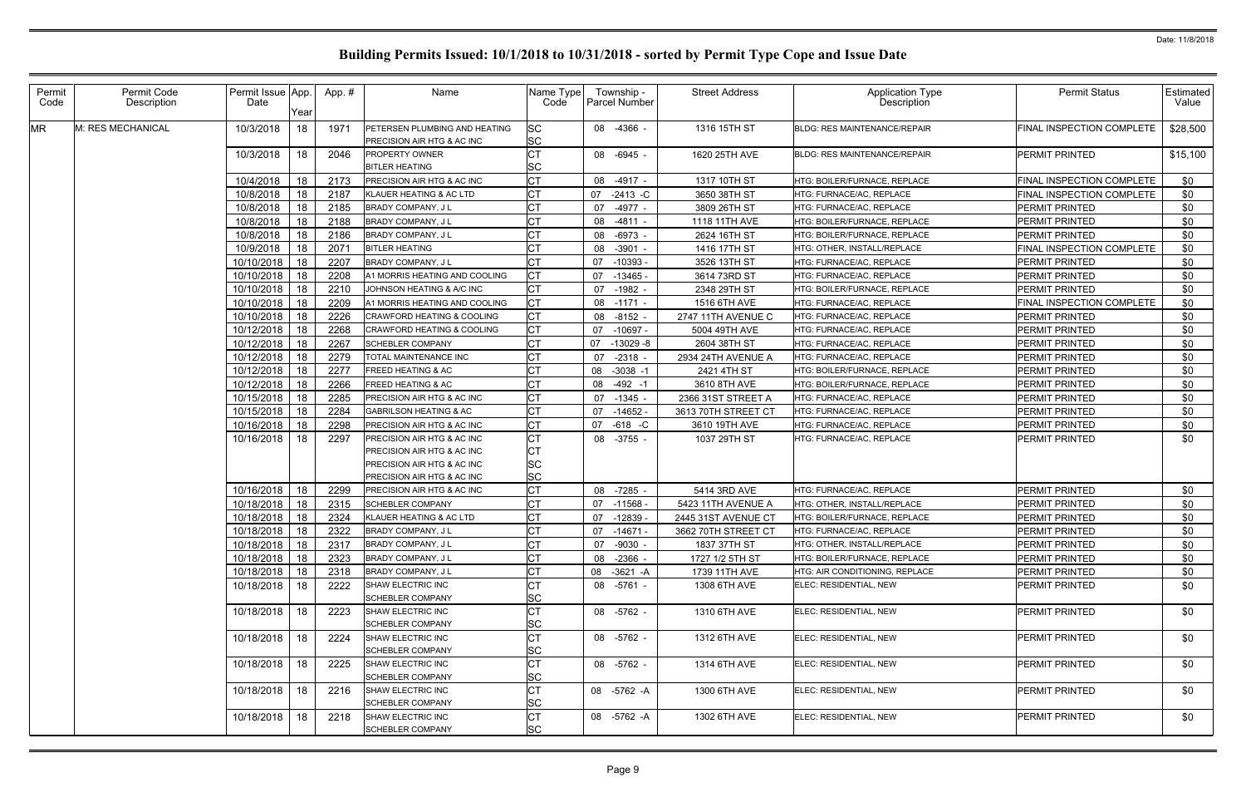| Permit<br>Code | Permit Code<br>Description | Permit Issue App.<br>Date | Year | App. # | Name                                                        | Name Type<br>Code      | Township -<br><b>Parcel Number</b> | <b>Street Address</b> | <b>Application Type</b><br>Description | <b>Permit Status</b>             | <b>Estimated</b><br>Value |
|----------------|----------------------------|---------------------------|------|--------|-------------------------------------------------------------|------------------------|------------------------------------|-----------------------|----------------------------------------|----------------------------------|---------------------------|
| <b>MR</b>      | M: RES MECHANICAL          | 10/3/2018                 | 18   | 1971   | PETERSEN PLUMBING AND HEATING<br>PRECISION AIR HTG & AC INC | <b>SC</b><br><b>SC</b> | 08 -4366 -                         | 1316 15TH ST          | <b>BLDG: RES MAINTENANCE/REPAIR</b>    | FINAL INSPECTION COMPLETE        | \$28,500                  |
|                |                            | 10/3/2018                 | 18   | 2046   | <b>PROPERTY OWNER</b><br><b>BITLER HEATING</b>              | <b>CT</b><br><b>SC</b> | 08 -6945 -                         | 1620 25TH AVE         | <b>BLDG: RES MAINTENANCE/REPAIR</b>    | <b>PERMIT PRINTED</b>            | \$15,100                  |
|                |                            | 10/4/2018                 | 18   | 2173   | <b>PRECISION AIR HTG &amp; AC INC</b>                       | <b>CT</b>              | 08 -4917 -                         | 1317 10TH ST          | HTG: BOILER/FURNACE, REPLACE           | FINAL INSPECTION COMPLETE        | \$0                       |
|                |                            | 10/8/2018                 | 18   | 2187   | KLAUER HEATING & AC LTD                                     | IСТ                    | 07<br>$-2413 - C$                  | 3650 38TH ST          | HTG: FURNACE/AC, REPLACE               | <b>FINAL INSPECTION COMPLETE</b> | \$0                       |
|                |                            | 10/8/2018                 | 18   | 2185   | BRADY COMPANY, J L                                          | <b>CT</b>              | -4977 -<br>07                      | 3809 26TH ST          | <b>HTG: FURNACE/AC, REPLACE</b>        | PERMIT PRINTED                   | \$0                       |
|                |                            | 10/8/2018                 | 18   | 2188   | <b>BRADY COMPANY, JL</b>                                    | <b>CT</b>              | 08 -4811 -                         | 1118 11TH AVE         | HTG: BOILER/FURNACE, REPLACE           | <b>PERMIT PRINTED</b>            | \$0                       |
|                |                            | 10/8/2018                 | 18   | 2186   | BRADY COMPANY, J L                                          | <b>CT</b>              | 08 -6973                           | 2624 16TH ST          | HTG: BOILER/FURNACE, REPLACE           | <b>PERMIT PRINTED</b>            | \$0                       |
|                |                            | 10/9/2018                 | 18   | 207'   | <b>BITLER HEATING</b>                                       | <b>CT</b>              | 08 -3901                           | 1416 17TH ST          | HTG: OTHER, INSTALL/REPLACE            | <b>FINAL INSPECTION COMPLETE</b> | \$0                       |
|                |                            | 10/10/2018                | 18   | 2207   | <b>BRADY COMPANY, JL</b>                                    | <b>CT</b>              | 07<br>$-10393$                     | 3526 13TH ST          | HTG: FURNACE/AC, REPLACE               | PERMIT PRINTED                   | \$0                       |
|                |                            | 10/10/2018                | 18   | 2208   | A1 MORRIS HEATING AND COOLING                               | IСТ                    | 07<br>$-13465$                     | 3614 73RD ST          | HTG: FURNACE/AC, REPLACE               | <b>PERMIT PRINTED</b>            | \$0                       |
|                |                            | 10/10/2018                | 18   | 2210   | JOHNSON HEATING & A/C INC                                   | IСТ                    | 07 -1982 -                         | 2348 29TH ST          | HTG: BOILER/FURNACE, REPLACE           | <b>PERMIT PRINTED</b>            | \$0                       |
|                |                            | 10/10/2018                | 18   | 2209   | A1 MORRIS HEATING AND COOLING                               | <b>CT</b>              | 08 -1171 -                         | 1516 6TH AVE          | HTG: FURNACE/AC, REPLACE               | FINAL INSPECTION COMPLETE        | \$0                       |
|                |                            | 10/10/2018                | 18   | 2226   | CRAWFORD HEATING & COOLING                                  | <b>CT</b>              | 08 -8152 -                         | 2747 11TH AVENUE C    | HTG: FURNACE/AC, REPLACE               | PERMIT PRINTED                   | \$0                       |
|                |                            | 10/12/2018                | 18   | 2268   | CRAWFORD HEATING & COOLING                                  | <b>CT</b>              | $-10697 -$<br>07                   | 5004 49TH AVE         | HTG: FURNACE/AC, REPLACE               | PERMIT PRINTED                   | \$0                       |
|                |                            | 10/12/2018                | 18   | 2267   | <b>SCHEBLER COMPANY</b>                                     | <b>CT</b>              | 07<br>-13029 -8                    | 2604 38TH ST          | HTG: FURNACE/AC, REPLACE               | <b>PERMIT PRINTED</b>            | \$0                       |
|                |                            | 10/12/2018                | 18   | 2279   | TOTAL MAINTENANCE INC                                       | <b>CT</b>              | $-2318$<br>07                      | 2934 24TH AVENUE A    | HTG: FURNACE/AC, REPLACE               | PERMIT PRINTED                   | \$0                       |
|                |                            | 10/12/2018                | 18   | 2277   | FREED HEATING & AC                                          | СT                     | 08<br>$-3038 - 1$                  | 2421 4TH ST           | HTG: BOILER/FURNACE, REPLACE           | <b>PERMIT PRINTED</b>            | \$0                       |
|                |                            | 10/12/2018                | 18   | 2266   | FREED HEATING & AC                                          | Iст                    | 08<br>$-492 - 1$                   | 3610 8TH AVE          | HTG: BOILER/FURNACE, REPLACE           | PERMIT PRINTED                   | \$0                       |
|                |                            | 10/15/2018                | 18   | 2285   | PRECISION AIR HTG & AC INC                                  | <b>CT</b>              | $-1345 -$<br>07                    | 2366 31ST STREET A    | HTG: FURNACE/AC, REPLACE               | PERMIT PRINTED                   | \$0                       |
|                |                            | 10/15/2018                | 18   | 2284   | <b>GABRILSON HEATING &amp; AC</b>                           | IСТ                    | $07 - 14652$                       | 3613 70TH STREET CT   | HTG: FURNACE/AC, REPLACE               | PERMIT PRINTED                   | \$0                       |
|                |                            | 10/16/2018                | 18   | 2298   | PRECISION AIR HTG & AC INC                                  | <b>CT</b>              | $-618$ $-C$<br>07                  | 3610 19TH AVE         | <b>HTG: FURNACE/AC, REPLACE</b>        | PERMIT PRINTED                   | \$0                       |
|                |                            | 10/16/2018                | 18   | 2297   | PRECISION AIR HTG & AC INC                                  | СT                     | 08 -3755 -                         | 1037 29TH ST          | HTG: FURNACE/AC, REPLACE               | <b>PERMIT PRINTED</b>            | \$0                       |
|                |                            |                           |      |        | PRECISION AIR HTG & AC INC                                  | СT                     |                                    |                       |                                        |                                  |                           |
|                |                            |                           |      |        | PRECISION AIR HTG & AC INC                                  | <b>SC</b>              |                                    |                       |                                        |                                  |                           |
|                |                            |                           |      |        | PRECISION AIR HTG & AC INC                                  | <b>SC</b>              |                                    |                       |                                        |                                  |                           |
|                |                            | 10/16/2018                | 18   | 2299   | PRECISION AIR HTG & AC INC                                  | <b>CT</b>              | 08 -7285 -                         | 5414 3RD AVE          | HTG: FURNACE/AC, REPLACE               | <b>PERMIT PRINTED</b>            | \$0                       |
|                |                            | 10/18/2018                | 18   | 2315   | <b>SCHEBLER COMPANY</b>                                     | <b>CT</b>              | 07 -11568                          | 5423 11TH AVENUE A    | HTG: OTHER, INSTALL/REPLACE            | <b>PERMIT PRINTED</b>            | \$0                       |
|                |                            | 10/18/2018                | 18   | 2324   | KLAUER HEATING & AC LTD                                     | СT                     | $-12839$<br>07                     | 2445 31ST AVENUE CT   | HTG: BOILER/FURNACE, REPLACE           | <b>PERMIT PRINTED</b>            | \$0                       |
|                |                            | 10/18/2018                | 18   | 2322   | BRADY COMPANY, J L                                          | Iст                    | 07 -14671 -                        | 3662 70TH STREET CT   | HTG: FURNACE/AC, REPLACE               | <b>PERMIT PRINTED</b>            | \$0                       |
|                |                            | 10/18/2018                | 18   | 2317   | BRADY COMPANY, J L                                          | <b>CT</b>              | 07 -9030 -                         | 1837 37TH ST          | HTG: OTHER, INSTALL/REPLACE            | <b>PERMIT PRINTED</b>            | \$0                       |
|                |                            | 10/18/2018                | 18   | 2323   | BRADY COMPANY, J L                                          | <b>CT</b>              | 08 -2366 -                         | 1727 1/2 5TH ST       | HTG: BOILER/FURNACE, REPLACE           | <b>PERMIT PRINTED</b>            | \$0                       |
|                |                            | 10/18/2018                | 18   | 2318   | BRADY COMPANY, J L                                          | <b>CT</b>              | 08 -3621 -A                        | 1739 11TH AVE         | HTG: AIR CONDITIONING, REPLACE         | PERMIT PRINTED                   | \$0                       |
|                |                            | 10/18/2018                | 18   | 2222   | SHAW ELECTRIC INC<br>SCHEBLER COMPANY                       | СT<br><b>SC</b>        | 08 -5761 -                         | 1308 6TH AVE          | ELEC: RESIDENTIAL, NEW                 | PERMIT PRINTED                   | \$0                       |
|                |                            | 10/18/2018                | 18   | 2223   | SHAW ELECTRIC INC                                           | <b>CT</b>              | 08 -5762 -                         | 1310 6TH AVE          | ELEC: RESIDENTIAL. NEW                 | <b>PERMIT PRINTED</b>            | \$0                       |
|                |                            |                           |      |        | <b>SCHEBLER COMPANY</b>                                     | <b>SC</b>              |                                    |                       |                                        |                                  |                           |
|                |                            | 10/18/2018                | 18   | 2224   | SHAW ELECTRIC INC                                           | <b>CT</b>              | 08 -5762 -                         | 1312 6TH AVE          | ELEC: RESIDENTIAL, NEW                 | <b>PERMIT PRINTED</b>            | \$0                       |
|                |                            |                           |      |        | SCHEBLER COMPANY                                            | <b>SC</b>              |                                    |                       |                                        |                                  |                           |
|                |                            | 10/18/2018                | 18   | 2225   | SHAW ELECTRIC INC                                           | <b>CT</b>              | 08 -5762 -                         | 1314 6TH AVE          | ELEC: RESIDENTIAL, NEW                 | <b>PERMIT PRINTED</b>            | \$0                       |
|                |                            |                           |      |        | <b>SCHEBLER COMPANY</b>                                     | <b>SC</b>              |                                    |                       |                                        |                                  |                           |
|                |                            | 10/18/2018                | 18   | 2216   | SHAW ELECTRIC INC<br><b>SCHEBLER COMPANY</b>                | <b>CT</b><br><b>SC</b> | 08 -5762 -A                        | 1300 6TH AVE          | ELEC: RESIDENTIAL, NEW                 | <b>PERMIT PRINTED</b>            | \$0                       |
|                |                            | 10/18/2018                | 18   | 2218   | SHAW ELECTRIC INC                                           | <b>CT</b>              | 08 -5762 -A                        | 1302 6TH AVE          | ELEC: RESIDENTIAL, NEW                 | <b>PERMIT PRINTED</b>            | \$0                       |
|                |                            |                           |      |        | <b>SCHEBLER COMPANY</b>                                     | <b>SC</b>              |                                    |                       |                                        |                                  |                           |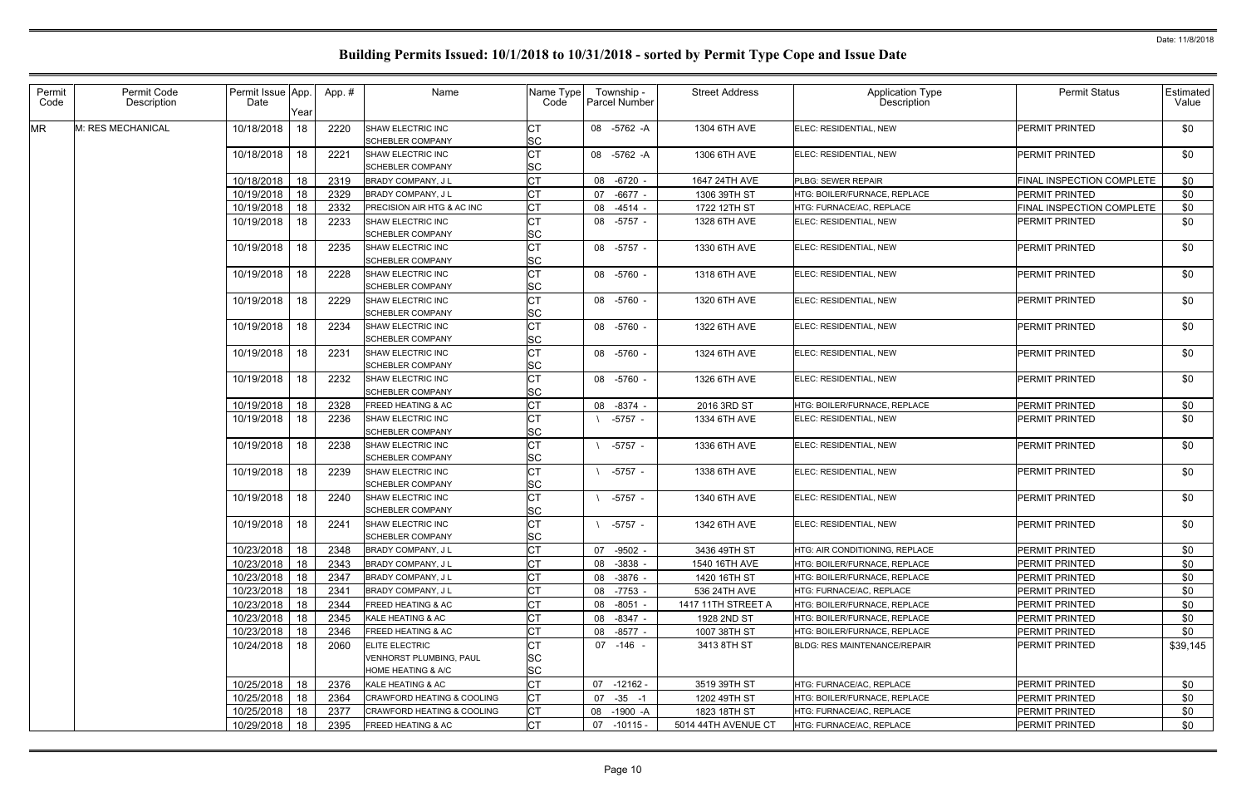| Permit    | Permit Code       | Permit Issue App. |      | App. # | Name                                                    | Name Type              |          | Township -           | <b>Street Address</b> |                                     | <b>Permit Status</b>      | <b>Estimated</b> |
|-----------|-------------------|-------------------|------|--------|---------------------------------------------------------|------------------------|----------|----------------------|-----------------------|-------------------------------------|---------------------------|------------------|
| Code      | Description       | Date              | Year |        |                                                         | Code                   |          | <b>Parcel Number</b> |                       | Application Type<br>Description     |                           | Value            |
| <b>MR</b> | M: RES MECHANICAL | 10/18/2018        | 18   | 2220   | SHAW ELECTRIC INC<br><b>SCHEBLER COMPANY</b>            | <b>SC</b>              |          | 08 -5762 -A          | 1304 6TH AVE          | ELEC: RESIDENTIAL, NEW              | <b>PERMIT PRINTED</b>     | \$0              |
|           |                   | 10/18/2018        | 18   | 2221   | SHAW ELECTRIC INC<br><b>SCHEBLER COMPANY</b>            | <b>CT</b><br><b>SC</b> |          | 08 -5762 -A          | 1306 6TH AVE          | ELEC: RESIDENTIAL, NEW              | <b>PERMIT PRINTED</b>     | \$0              |
|           |                   | 10/18/2018        | 18   | 2319   | <b>BRADY COMPANY, JL</b>                                | <b>CT</b>              |          | 08 -6720             | 1647 24TH AVE         | PLBG: SEWER REPAIR                  | FINAL INSPECTION COMPLETE | \$0              |
|           |                   | 10/19/2018        | 18   | 2329   | BRADY COMPANY, J L                                      | <b>CT</b>              | 07       | $-6677$              | 1306 39TH ST          | HTG: BOILER/FURNACE, REPLACE        | <b>PERMIT PRINTED</b>     | \$0              |
|           |                   | 10/19/2018        | 18   | 2332   | <b>PRECISION AIR HTG &amp; AC INC</b>                   | <b>CT</b>              |          | 08 -4514             | 1722 12TH ST          | HTG: FURNACE/AC, REPLACE            | FINAL INSPECTION COMPLETE | \$0              |
|           |                   | 10/19/2018        | 18   | 2233   | SHAW ELECTRIC INC<br><b>SCHEBLER COMPANY</b>            | <b>CT</b><br><b>SC</b> |          | 08 -5757 -           | 1328 6TH AVE          | ELEC: RESIDENTIAL, NEW              | <b>PERMIT PRINTED</b>     | \$0              |
|           |                   | 10/19/2018        | 18   | 2235   | SHAW ELECTRIC INC<br><b>SCHEBLER COMPANY</b>            | <b>CT</b><br><b>SC</b> |          | 08 -5757 -           | 1330 6TH AVE          | ELEC: RESIDENTIAL, NEW              | <b>PERMIT PRINTED</b>     | \$0              |
|           |                   | 10/19/2018        | 18   | 2228   | <b>SHAW ELECTRIC INC</b><br><b>SCHEBLER COMPANY</b>     | <b>CT</b><br><b>SC</b> |          | 08 -5760 -           | 1318 6TH AVE          | ELEC: RESIDENTIAL, NEW              | <b>PERMIT PRINTED</b>     | \$0              |
|           |                   | 10/19/2018        | 18   | 2229   | SHAW ELECTRIC INC<br><b>SCHEBLER COMPANY</b>            | <b>SC</b>              |          | 08 -5760 -           | 1320 6TH AVE          | ELEC: RESIDENTIAL, NEW              | <b>PERMIT PRINTED</b>     | \$0              |
|           |                   | 10/19/2018        | 18   | 2234   | SHAW ELECTRIC INC<br><b>SCHEBLER COMPANY</b>            | Iст<br><b>SC</b>       |          | 08 -5760 -           | 1322 6TH AVE          | ELEC: RESIDENTIAL. NEW              | <b>PERMIT PRINTED</b>     | \$0              |
|           |                   | 10/19/2018        | 18   | 2231   | SHAW ELECTRIC INC<br><b>SCHEBLER COMPANY</b>            | <b>CT</b><br><b>SC</b> |          | 08 -5760 -           | 1324 6TH AVE          | ELEC: RESIDENTIAL, NEW              | <b>PERMIT PRINTED</b>     | \$0              |
|           |                   | 10/19/2018        | 18   | 2232   | <b>SHAW ELECTRIC INC</b><br><b>SCHEBLER COMPANY</b>     | Iст<br><b>SC</b>       |          | 08 -5760 -           | 1326 6TH AVE          | ELEC: RESIDENTIAL, NEW              | <b>PERMIT PRINTED</b>     | \$0              |
|           |                   | 10/19/2018        | 18   | 2328   | <b>FREED HEATING &amp; AC</b>                           | <b>CT</b>              | 08 -8374 |                      | 2016 3RD ST           | HTG: BOILER/FURNACE, REPLACE        | <b>PERMIT PRINTED</b>     | \$0              |
|           |                   | 10/19/2018        | 18   | 2236   | SHAW ELECTRIC INC<br><b>SCHEBLER COMPANY</b>            | Iст<br><b>SC</b>       |          | $-5757 -$            | 1334 6TH AVE          | ELEC: RESIDENTIAL, NEW              | <b>PERMIT PRINTED</b>     | \$0              |
|           |                   | 10/19/2018        | 18   | 2238   | <b>SHAW ELECTRIC INC</b><br><b>SCHEBLER COMPANY</b>     | Iст<br><b>SC</b>       |          | $-5757 -$            | 1336 6TH AVE          | ELEC: RESIDENTIAL, NEW              | <b>PERMIT PRINTED</b>     | \$0              |
|           |                   | 10/19/2018        | 18   | 2239   | <b>SHAW ELECTRIC INC</b><br><b>SCHEBLER COMPANY</b>     | <b>CT</b><br><b>SC</b> |          | $-5757 -$            | 1338 6TH AVE          | ELEC: RESIDENTIAL, NEW              | PERMIT PRINTED            | \$0              |
|           |                   | 10/19/2018        | 18   | 2240   | <b>SHAW ELECTRIC INC</b><br><b>SCHEBLER COMPANY</b>     | Iст<br><b>SC</b>       |          | -5757 -              | 1340 6TH AVE          | ELEC: RESIDENTIAL. NEW              | <b>PERMIT PRINTED</b>     | \$0              |
|           |                   | 10/19/2018        | 18   | 2241   | SHAW ELECTRIC INC<br><b>SCHEBLER COMPANY</b>            | IСТ<br><b>SC</b>       |          | $-5757 -$            | 1342 6TH AVE          | ELEC: RESIDENTIAL, NEW              | <b>PERMIT PRINTED</b>     | \$0              |
|           |                   | 10/23/2018        | 18   | 2348   | <b>BRADY COMPANY, JL</b>                                | <b>CT</b>              |          | 07 -9502 -           | 3436 49TH ST          | HTG: AIR CONDITIONING, REPLACE      | PERMIT PRINTED            | \$0              |
|           |                   | 10/23/2018        | 18   | 2343   | <b>BRADY COMPANY, JL</b>                                | IСТ                    |          | 08 -3838 -           | 1540 16TH AVE         | HTG: BOILER/FURNACE, REPLACE        | <b>PERMIT PRINTED</b>     | \$0              |
|           |                   | 10/23/2018        | 18   | 2347   | BRADY COMPANY, J L                                      | IСТ                    |          | 08 -3876 -           | 1420 16TH ST          | HTG: BOILER/FURNACE. REPLACE        | PERMIT PRINTED            | \$0              |
|           |                   | 10/23/2018        | 18   | 2341   | BRADY COMPANY, J L                                      | <b>CT</b>              |          | 08 -7753 -           | 536 24TH AVE          | HTG: FURNACE/AC. REPLACE            | PERMIT PRINTED            | \$0              |
|           |                   | 10/23/2018        | 18   | 2344   | <b>FREED HEATING &amp; AC</b>                           | СT                     |          | 08 -8051 -           | 1417 11TH STREET A    | HTG: BOILER/FURNACE, REPLACE        | PERMIT PRINTED            | \$0              |
|           |                   | 10/23/2018        | 18   | 2345   | KALE HEATING & AC                                       |                        |          | 08 -8347 -           | 1928 2ND ST           | HTG: BOILER/FURNACE, REPLACE        | PERMIT PRINTED            | \$0              |
|           |                   | 10/23/2018        | 18   | 2346   | <b>FREED HEATING &amp; AC</b>                           | Iст                    |          | 08 -8577 -           | 1007 38TH ST          | HTG: BOILER/FURNACE, REPLACE        | <b>PERMIT PRINTED</b>     | \$0              |
|           |                   | 10/24/2018        | 18   | 2060   | <b>ELITE ELECTRIC</b><br><b>VENHORST PLUMBING, PAUL</b> | IСТ<br><b>SC</b>       |          | 07 -146 -            | 3413 8TH ST           | <b>BLDG: RES MAINTENANCE/REPAIR</b> | <b>PERMIT PRINTED</b>     | \$39,145         |
|           |                   |                   |      |        | HOME HEATING & A/C                                      | <b>SC</b>              |          |                      |                       |                                     |                           |                  |
|           |                   | 10/25/2018        | 18   | 2376   | KALE HEATING & AC                                       | <b>CT</b>              |          | 07 -12162 -          | 3519 39TH ST          | HTG: FURNACE/AC, REPLACE            | <b>PERMIT PRINTED</b>     | \$0              |
|           |                   | 10/25/2018        | 18   | 2364   | CRAWFORD HEATING & COOLING                              |                        |          | $07 - 35 - 1$        | 1202 49TH ST          | HTG: BOILER/FURNACE, REPLACE        | PERMIT PRINTED            | \$0              |
|           |                   | 10/25/2018        | 18   | 2377   | CRAWFORD HEATING & COOLING                              | <b>CT</b>              |          | 08 -1900 -A          | 1823 18TH ST          | HTG: FURNACE/AC, REPLACE            | <b>PERMIT PRINTED</b>     | \$0              |
|           |                   | 10/29/2018        | 18   | 2395   | <b>FREED HEATING &amp; AC</b>                           | <b>CT</b>              |          | $07 - 10115 -$       | 5014 44TH AVENUE CT   | HTG: FURNACE/AC, REPLACE            | PERMIT PRINTED            | \$0              |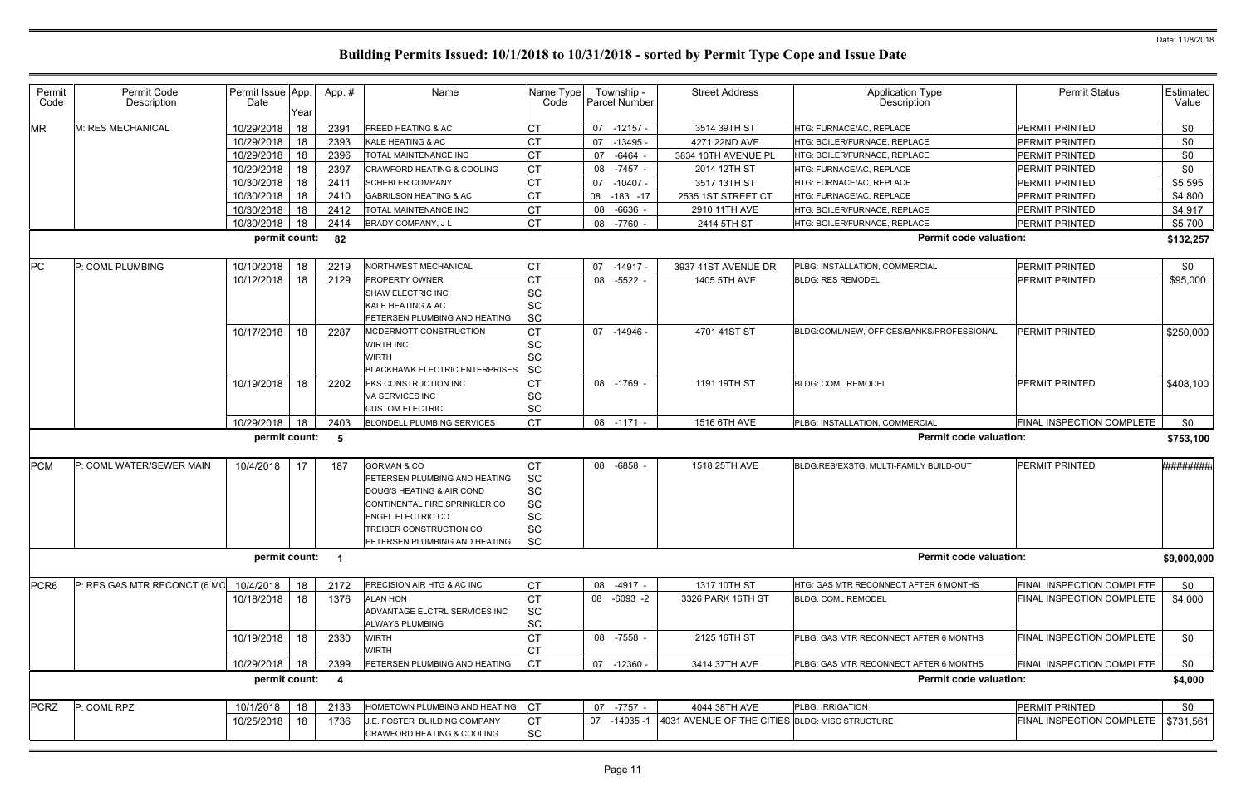| Permit<br>Code   | Permit Code<br>Description   | Permit Issue App.<br>Date | Year | App.#                   | Name                                                                                                                                                                                                          | Name Type<br>Code                                                                 |    | Township -<br><b>Parcel Number</b> | <b>Street Address</b>                          | <b>Application Type</b><br><b>Description</b> | <b>Permit Status</b>                  | Estimated<br>Value |
|------------------|------------------------------|---------------------------|------|-------------------------|---------------------------------------------------------------------------------------------------------------------------------------------------------------------------------------------------------------|-----------------------------------------------------------------------------------|----|------------------------------------|------------------------------------------------|-----------------------------------------------|---------------------------------------|--------------------|
| <b>MR</b>        | M: RES MECHANICAL            | 10/29/2018                | 18   | 2391                    | <b>FREED HEATING &amp; AC</b>                                                                                                                                                                                 | <b>CT</b>                                                                         |    | 07 -12157 -                        | 3514 39TH ST                                   | HTG: FURNACE/AC, REPLACE                      | PERMIT PRINTED                        | \$0                |
|                  |                              | 10/29/2018                | 18   | 2393                    | KALE HEATING & AC                                                                                                                                                                                             |                                                                                   | 07 | -13495 -                           | 4271 22ND AVE                                  | <b>ITG: BOILER/FURNACE, REPLACE</b>           | <b>PERMIT PRINTED</b>                 | \$0                |
|                  |                              | 10/29/2018                | 18   | 2396                    | TOTAL MAINTENANCE INC                                                                                                                                                                                         | IСТ                                                                               | 07 | -6464                              | 3834 10TH AVENUE PL                            | HTG: BOILER/FURNACE, REPLACE                  | PERMIT PRINTED                        | \$0                |
|                  |                              | 10/29/2018                | 18   | 2397                    | <b>CRAWFORD HEATING &amp; COOLING</b>                                                                                                                                                                         | <b>CT</b>                                                                         |    | 08 -7457 -                         | 2014 12TH ST                                   | HTG: FURNACE/AC, REPLACE                      | PERMIT PRINTED                        | \$0                |
|                  |                              | 10/30/2018                | 18   | 2411                    | <b>SCHEBLER COMPANY</b>                                                                                                                                                                                       | <b>CT</b>                                                                         |    | 07 -10407 -                        | 3517 13TH ST                                   | HTG: FURNACE/AC, REPLACE                      | PERMIT PRINTED                        | \$5,595            |
|                  |                              | 10/30/2018                | 18   | 2410                    | <b>GABRILSON HEATING &amp; AC</b>                                                                                                                                                                             | Iст                                                                               | 08 | $-183 - 17$                        | 2535 1ST STREET CT                             | HTG: FURNACE/AC, REPLACE                      | PERMIT PRINTED                        | \$4,800            |
|                  |                              | 10/30/2018                | 18   | 2412                    | TOTAL MAINTENANCE INC                                                                                                                                                                                         | Iст                                                                               |    | 08 -6636 -                         | 2910 11TH AVE                                  | HTG: BOILER/FURNACE, REPLACE                  | PERMIT PRINTED                        | \$4,917            |
|                  |                              | 10/30/2018                | 18   | 2414                    | BRADY COMPANY, J L                                                                                                                                                                                            | <b>CT</b>                                                                         |    | 08 -7760 -                         | 2414 5TH ST                                    | HTG: BOILER/FURNACE, REPLACE                  | PERMIT PRINTED                        | \$5,700            |
|                  |                              | permit count:             |      | 82                      |                                                                                                                                                                                                               |                                                                                   |    |                                    |                                                | <b>Permit code valuation:</b>                 |                                       | \$132,257          |
| PC               | P: COML PLUMBING             | 10/10/2018                | 18   | 2219                    | NORTHWEST MECHANICAL                                                                                                                                                                                          | IСТ                                                                               |    | 07 -14917 -                        | 3937 41ST AVENUE DR                            | PLBG: INSTALLATION, COMMERCIAL                | PERMIT PRINTED                        | \$0                |
|                  |                              | 10/12/2018                | 18   | 2129                    | <b>PROPERTY OWNER</b><br>SHAW ELECTRIC INC<br>KALE HEATING & AC<br>PETERSEN PLUMBING AND HEATING                                                                                                              | <b>SC</b><br><b>SC</b><br><b>SC</b>                                               |    | 08 -5522 -                         | 1405 5TH AVE                                   | <b>BLDG: RES REMODEL</b>                      | <b>PERMIT PRINTED</b>                 | \$95,000           |
|                  |                              | 10/17/2018                | 18   | 2287                    | MCDERMOTT CONSTRUCTION<br><b>WIRTH INC</b><br>WIRTH<br><b>BLACKHAWK ELECTRIC ENTERPRISES</b>                                                                                                                  | <b>CT</b><br><b>SC</b><br><b>SC</b><br><b>SC</b>                                  |    | 07 -14946 -                        | 4701 41ST ST                                   | BLDG:COML/NEW, OFFICES/BANKS/PROFESSIONAL     | PERMIT PRINTED                        | \$250,000          |
|                  |                              | 10/19/2018                | 18   | 2202                    | PKS CONSTRUCTION INC<br>VA SERVICES INC<br><b>CUSTOM ELECTRIC</b>                                                                                                                                             | <b>SC</b><br><b>SC</b>                                                            |    | 08 -1769 -                         | 1191 19TH ST                                   | <b>BLDG: COML REMODEL</b>                     | <b>PERMIT PRINTED</b>                 | \$408,100          |
|                  |                              | 10/29/2018                | 18   | 2403                    | <b>BLONDELL PLUMBING SERVICES</b>                                                                                                                                                                             | <b>CT</b>                                                                         |    | 08 -1171                           | 1516 6TH AVE                                   | PLBG: INSTALLATION, COMMERCIAL                | FINAL INSPECTION COMPLETE             | \$0                |
|                  |                              | permit count:             |      | - 5                     |                                                                                                                                                                                                               |                                                                                   |    |                                    |                                                | <b>Permit code valuation:</b>                 |                                       | \$753,100          |
| <b>PCM</b>       | P: COML WATER/SEWER MAIN     | 10/4/2018                 | 17   | 187                     | <b>GORMAN &amp; CO</b><br>PETERSEN PLUMBING AND HEATING<br>DOUG'S HEATING & AIR COND<br>CONTINENTAL FIRE SPRINKLER CO<br><b>ENGEL ELECTRIC CO</b><br>TREIBER CONSTRUCTION CO<br>PETERSEN PLUMBING AND HEATING | <b>CT</b><br><b>SC</b><br><b>SC</b><br><b>SC</b><br><b>SC</b><br><b>SC</b><br> SC |    | 08 -6858 -                         | 1518 25TH AVE                                  | BLDG:RES/EXSTG, MULTI-FAMILY BUILD-OUT        | PERMIT PRINTED                        | #########          |
|                  |                              | permit count:             |      |                         |                                                                                                                                                                                                               |                                                                                   |    |                                    |                                                | <b>Permit code valuation:</b>                 |                                       | \$9,000,000        |
| PCR <sub>6</sub> | P: RES GAS MTR RECONCT (6 MO | 10/4/2018                 | 18   | 2172                    | PRECISION AIR HTG & AC INC                                                                                                                                                                                    | <b>CT</b>                                                                         |    | 08 -4917 -                         | 1317 10TH ST                                   | HTG: GAS MTR RECONNECT AFTER 6 MONTHS         | FINAL INSPECTION COMPLETE             | \$0                |
|                  |                              | 10/18/2018                | 18   | 1376                    | ALAN HON<br>ADVANTAGE ELCTRL SERVICES INC<br>ALWAYS PLUMBING                                                                                                                                                  | <b>CT</b><br><b>SC</b><br><b>SC</b>                                               |    | 08 -6093 -2                        | 3326 PARK 16TH ST                              | <b>BLDG: COML REMODEL</b>                     | FINAL INSPECTION COMPLETE             | \$4,000            |
|                  |                              | 10/19/2018                | 18   | 2330                    | <b>WIRTH</b><br><b>WIRTH</b>                                                                                                                                                                                  | <b>ICT</b>                                                                        |    | 08 -7558 -                         | 2125 16TH ST                                   | PLBG: GAS MTR RECONNECT AFTER 6 MONTHS        | FINAL INSPECTION COMPLETE             | \$0                |
|                  |                              | 10/29/2018                | 18   | 2399                    | PETERSEN PLUMBING AND HEATING                                                                                                                                                                                 | <b>CT</b>                                                                         |    | 07 -12360 -                        | 3414 37TH AVE                                  | PLBG: GAS MTR RECONNECT AFTER 6 MONTHS        | FINAL INSPECTION COMPLETE             | \$0                |
|                  |                              | permit count:             |      | $\overline{\mathbf{4}}$ |                                                                                                                                                                                                               |                                                                                   |    |                                    |                                                | <b>Permit code valuation:</b>                 |                                       | \$4,000            |
| <b>PCRZ</b>      | P: COML RPZ                  | 10/1/2018                 | 18   | 2133                    | HOMETOWN PLUMBING AND HEATING                                                                                                                                                                                 | <b>CT</b>                                                                         |    | 07 -7757 -                         | 4044 38TH AVE                                  | PLBG: IRRIGATION                              | PERMIT PRINTED                        | \$0                |
|                  |                              | 10/25/2018                | 18   | 1736                    | J.E. FOSTER BUILDING COMPANY<br>CRAWFORD HEATING & COOLING                                                                                                                                                    | <b>CT</b><br><b>SC</b>                                                            |    | 07 -14935 -1                       | 4031 AVENUE OF THE CITIES BLDG: MISC STRUCTURE |                                               | FINAL INSPECTION COMPLETE   \$731,561 |                    |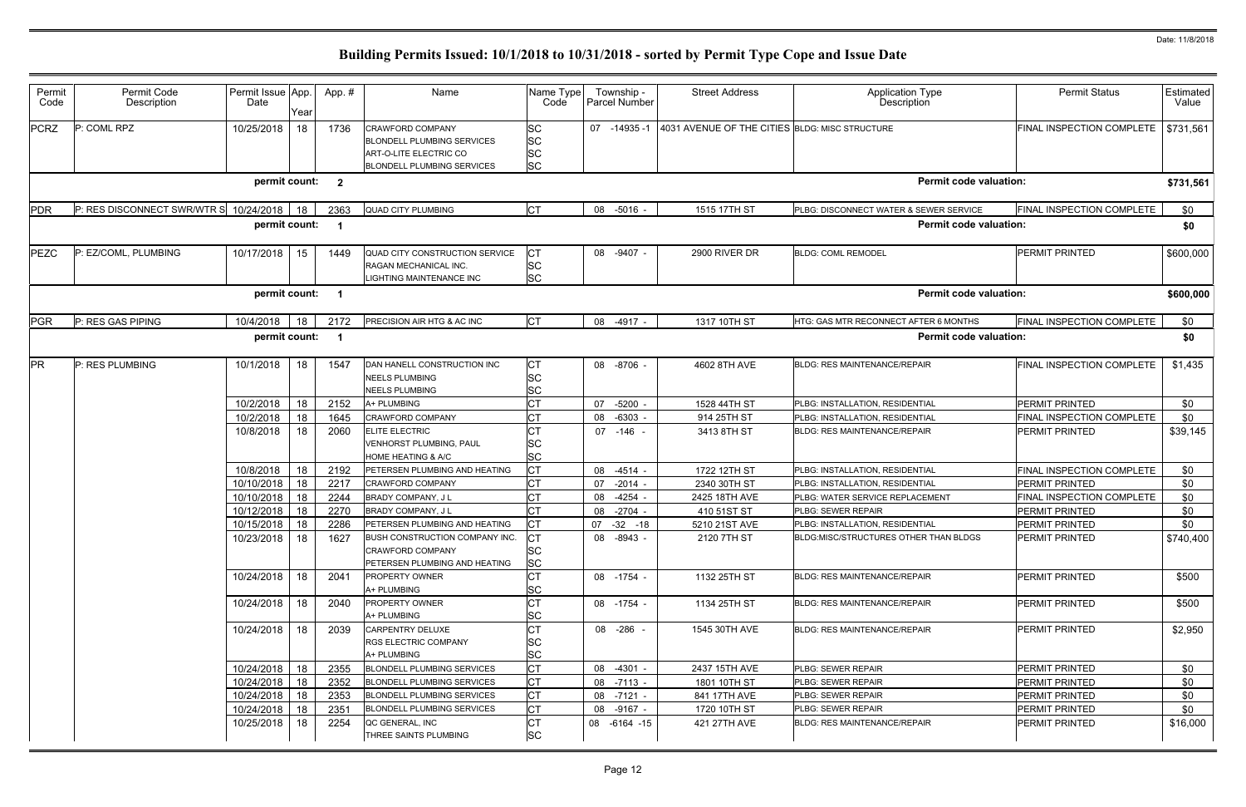| Permit<br>Code | Permit Code<br>Description                  | Permit Issue App.<br>Date | Year | App.# | Name                                                                                                                 | Name Type<br>Code                         |    | Township -<br>Parcel Number | <b>Street Address</b>                          | <b>Application Type</b><br>Description | <b>Permit Status</b>      | Estimated<br>Value |
|----------------|---------------------------------------------|---------------------------|------|-------|----------------------------------------------------------------------------------------------------------------------|-------------------------------------------|----|-----------------------------|------------------------------------------------|----------------------------------------|---------------------------|--------------------|
| <b>PCRZ</b>    | P: COML RPZ                                 | 10/25/2018                | 18   | 1736  | <b>CRAWFORD COMPANY</b><br><b>BLONDELL PLUMBING SERVICES</b><br>ART-O-LITE ELECTRIC CO<br>BLONDELL PLUMBING SERVICES | SC<br><b>SC</b><br><b>SC</b><br><b>SC</b> | 07 | $-14935-1$                  | 4031 AVENUE OF THE CITIES BLDG: MISC STRUCTURE |                                        | FINAL INSPECTION COMPLETE | \$731,561          |
|                |                                             | permit count: 2           |      |       |                                                                                                                      |                                           |    |                             |                                                | <b>Permit code valuation:</b>          |                           | \$731,561          |
| <b>PDR</b>     | P: RES DISCONNECT SWR/WTR S 10/24/2018   18 |                           |      | 2363  | <b>QUAD CITY PLUMBING</b>                                                                                            | <b>CT</b>                                 |    | 08 -5016 -                  | 1515 17TH ST                                   | PLBG: DISCONNECT WATER & SEWER SERVICE | FINAL INSPECTION COMPLETE | \$0                |
|                |                                             | permit count:             |      |       |                                                                                                                      |                                           |    |                             |                                                | <b>Permit code valuation:</b>          |                           | \$0                |
| PEZC           | P: EZ/COML, PLUMBING                        | 10/17/2018                | 15   | 1449  | QUAD CITY CONSTRUCTION SERVICE<br>RAGAN MECHANICAL INC.<br>LIGHTING MAINTENANCE INC                                  | <b>CT</b><br>SC<br><b>SC</b>              |    | 08 -9407 -                  | 2900 RIVER DR                                  | <b>BLDG: COML REMODEL</b>              | PERMIT PRINTED            | \$600,000          |
|                |                                             | permit count:             |      |       |                                                                                                                      |                                           |    |                             |                                                | <b>Permit code valuation:</b>          |                           | \$600,000          |
| <b>PGR</b>     | P: RES GAS PIPING                           | 10/4/2018                 | 18   | 2172  | PRECISION AIR HTG & AC INC                                                                                           | <b>CT</b>                                 |    | 08 -4917 -                  | 1317 10TH ST                                   | HTG: GAS MTR RECONNECT AFTER 6 MONTHS  | FINAL INSPECTION COMPLETE | \$0                |
|                |                                             | permit count:             |      |       |                                                                                                                      |                                           |    |                             |                                                | <b>Permit code valuation:</b>          |                           | \$0                |
| <b>PR</b>      | P: RES PLUMBING                             | 10/1/2018                 | 18   | 1547  | DAN HANELL CONSTRUCTION INC<br><b>NEELS PLUMBING</b><br><b>NEELS PLUMBING</b>                                        | <b>CT</b><br>SC<br>SC                     |    | 08 -8706 -                  | 4602 8TH AVE                                   | BLDG: RES MAINTENANCE/REPAIR           | FINAL INSPECTION COMPLETE | \$1,435            |
|                |                                             | 10/2/2018                 | 18   | 2152  | A+ PLUMBING                                                                                                          | СT                                        | 07 | $-5200$                     | 1528 44TH ST                                   | PLBG: INSTALLATION, RESIDENTIAL        | PERMIT PRINTED            | \$0                |
|                |                                             | 10/2/2018                 | 18   | 1645  | CRAWFORD COMPANY                                                                                                     | CТ                                        | 08 | $-6303 -$                   | 914 25TH ST                                    | PLBG: INSTALLATION, RESIDENTIAL        | FINAL INSPECTION COMPLETE | \$0                |
|                |                                             | 10/8/2018                 | 18   | 2060  | ELITE ELECTRIC<br>VENHORST PLUMBING, PAUL<br>HOME HEATING & A/C                                                      | SC<br>SC                                  |    | 07 -146 -                   | 3413 8TH ST                                    | <b>BLDG: RES MAINTENANCE/REPAIR</b>    | PERMIT PRINTED            | \$39,145           |
|                |                                             | 10/8/2018                 | 18   | 2192  | PETERSEN PLUMBING AND HEATING                                                                                        | <b>CT</b>                                 | 08 | -4514 -                     | 1722 12TH ST                                   | PLBG: INSTALLATION, RESIDENTIAL        | FINAL INSPECTION COMPLETE | \$0                |
|                |                                             | 10/10/2018                | 18   | 2217  | <b>CRAWFORD COMPANY</b>                                                                                              |                                           | 07 | $-2014 -$                   | 2340 30TH ST                                   | PLBG: INSTALLATION, RESIDENTIAL        | PERMIT PRINTED            | \$0                |
|                |                                             | 10/10/2018                | 18   | 2244  | BRADY COMPANY, J L                                                                                                   | СT                                        | 08 | -4254 -                     | 2425 18TH AVE                                  | PLBG: WATER SERVICE REPLACEMENT        | FINAL INSPECTION COMPLETE | \$0                |
|                |                                             | 10/12/2018                | 18   | 2270  | BRADY COMPANY, J L                                                                                                   | <b>CT</b>                                 |    | 08 -2704 -                  | 410 51ST ST                                    | <b>PLBG: SEWER REPAIR</b>              | PERMIT PRINTED            | \$0                |
|                |                                             | 10/15/2018                | 18   | 2286  | PETERSEN PLUMBING AND HEATING                                                                                        | <b>CT</b>                                 |    | 07 -32 -18                  | 5210 21ST AVE                                  | PLBG: INSTALLATION, RESIDENTIAL        | PERMIT PRINTED            | \$0                |
|                |                                             | 10/23/2018 18             |      | 1627  | BUSH CONSTRUCTION COMPANY INC.<br><b>CRAWFORD COMPANY</b><br>PETERSEN PLUMBING AND HEATING                           | <b>CT</b><br>SC<br><b>SC</b>              |    | 08 -8943 -                  | 2120 7TH ST                                    | BLDG:MISC/STRUCTURES OTHER THAN BLDGS  | PERMIT PRINTED            | \$740,400          |
|                |                                             | 10/24/2018                | 18   | 2041  | <b>PROPERTY OWNER</b><br>A+ PLUMBING                                                                                 | SC                                        |    | 08 -1754 -                  | 1132 25TH ST                                   | <b>BLDG: RES MAINTENANCE/REPAIR</b>    | <b>PERMIT PRINTED</b>     | \$500              |
|                |                                             | 10/24/2018                | 18   | 2040  | <b>PROPERTY OWNER</b><br>A+ PLUMBING                                                                                 | СT<br>SC                                  |    | 08 -1754 -                  | 1134 25TH ST                                   | <b>BLDG: RES MAINTENANCE/REPAIR</b>    | PERMIT PRINTED            | \$500              |
|                |                                             | 10/24/2018                | 18   | 2039  | <b>CARPENTRY DELUXE</b><br><b>RGS ELECTRIC COMPANY</b><br>A+ PLUMBING                                                | <b>CT</b><br>SC<br><b>SC</b>              |    | 08 -286 -                   | 1545 30TH AVE                                  | <b>BLDG: RES MAINTENANCE/REPAIR</b>    | <b>PERMIT PRINTED</b>     | \$2,950            |
|                |                                             | 10/24/2018                | 18   | 2355  | BLONDELL PLUMBING SERVICES                                                                                           | <b>CT</b>                                 |    | 08 -4301 -                  | 2437 15TH AVE                                  | PLBG: SEWER REPAIR                     | PERMIT PRINTED            | \$0                |
|                |                                             | 10/24/2018                | 18   | 2352  | <b>BLONDELL PLUMBING SERVICES</b>                                                                                    | <b>CT</b>                                 |    | 08 -7113 -                  | 1801 10TH ST                                   | PLBG: SEWER REPAIR                     | PERMIT PRINTED            | \$0                |
|                |                                             | 10/24/2018                | 18   | 2353  | <b>BLONDELL PLUMBING SERVICES</b>                                                                                    | <b>CT</b>                                 |    | 08 -7121 -                  | 841 17TH AVE                                   | PLBG: SEWER REPAIR                     | PERMIT PRINTED            | \$0                |
|                |                                             | 10/24/2018                | 18   | 2351  | <b>BLONDELL PLUMBING SERVICES</b>                                                                                    | <b>CT</b>                                 |    | 08 -9167 -                  | 1720 10TH ST                                   | PLBG: SEWER REPAIR                     | PERMIT PRINTED            | \$0                |
|                |                                             | 10/25/2018                | 18   | 2254  | QC GENERAL, INC<br>THREE SAINTS PLUMBING                                                                             | СT<br><b>SC</b>                           |    | 08 -6164 -15                | 421 27TH AVE                                   | <b>BLDG: RES MAINTENANCE/REPAIR</b>    | PERMIT PRINTED            | \$16,000           |